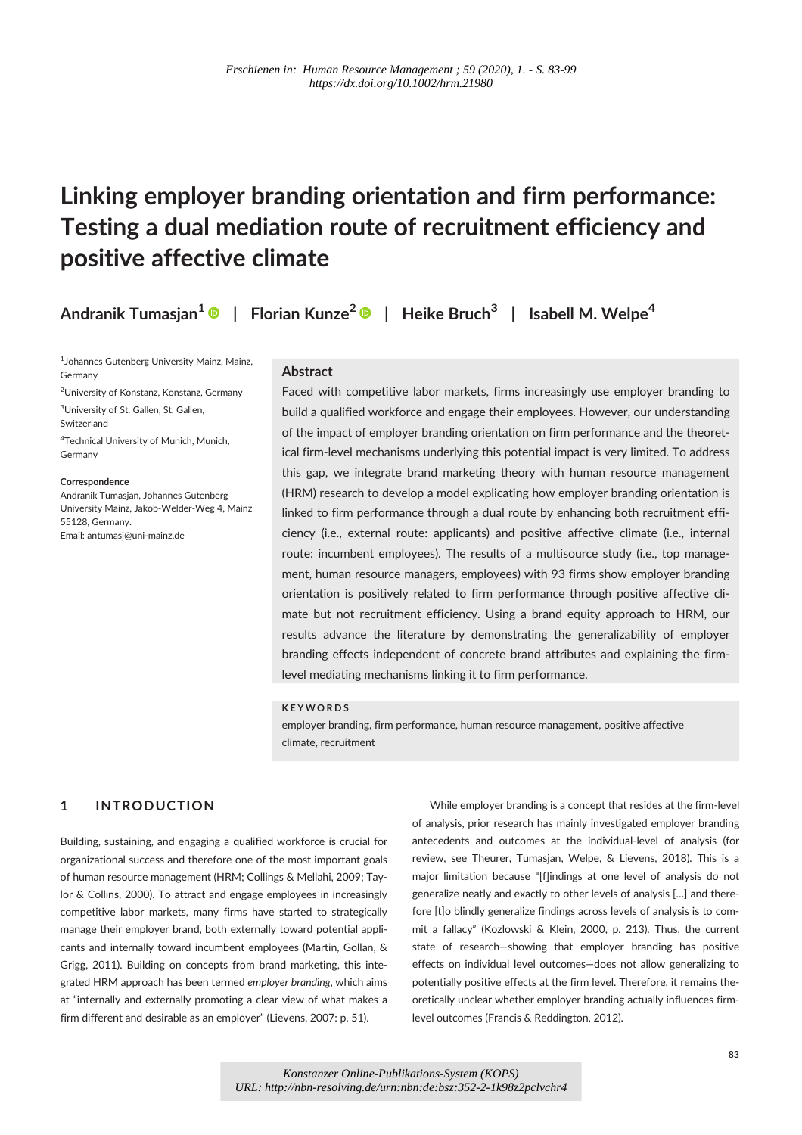# Linking employer branding orientation and firm performance: Testing a dual mediation route of recruitment efficiency and positive affective climate

Andranik Tumasjan $^{\text{1}}$  ®  $\,$   $\,$  Florian Kunze $^{\text{2}}$  ®  $\,$   $\,$  Heike Bruch $^{\text{3}}$   $\,$   $\,$  Isabell M. Welpe $^{\text{4}}$ 

1 Johannes Gutenberg University Mainz, Mainz, Germany <sup>2</sup>University of Konstanz, Konstanz, Germany <sup>3</sup>University of St. Gallen, St. Gallen, Switzerland 4 Technical University of Munich, Munich, Germany

**Correspondence** Andranik Tumasjan, Johannes Gutenberg University Mainz, Jakob-Welder-Weg 4, Mainz 55128, Germany. Email: antumasj@uni-mainz.de

### Abstract

Faced with competitive labor markets, firms increasingly use employer branding to build a qualified workforce and engage their employees. However, our understanding of the impact of employer branding orientation on firm performance and the theoretical firm-level mechanisms underlying this potential impact is very limited. To address this gap, we integrate brand marketing theory with human resource management (HRM) research to develop a model explicating how employer branding orientation is linked to firm performance through a dual route by enhancing both recruitment efficiency (i.e., external route: applicants) and positive affective climate (i.e., internal route: incumbent employees). The results of a multisource study (i.e., top management, human resource managers, employees) with 93 firms show employer branding orientation is positively related to firm performance through positive affective climate but not recruitment efficiency. Using a brand equity approach to HRM, our results advance the literature by demonstrating the generalizability of employer branding effects independent of concrete brand attributes and explaining the firmlevel mediating mechanisms linking it to firm performance.

#### **K F Y W O R D S**

employer branding, firm performance, human resource management, positive affective climate, recruitment

# 1 INTRODUCTION

Building, sustaining, and engaging a qualified workforce is crucial for organizational success and therefore one of the most important goals of human resource management (HRM; Collings & Mellahi, 2009; Taylor & Collins, 2000). To attract and engage employees in increasingly competitive labor markets, many firms have started to strategically manage their employer brand, both externally toward potential applicants and internally toward incumbent employees (Martin, Gollan, & Grigg, 2011). Building on concepts from brand marketing, this integrated HRM approach has been termed employer branding, which aims at "internally and externally promoting a clear view of what makes a firm different and desirable as an employer" (Lievens, 2007: p. 51).

While employer branding is a concept that resides at the firm-level of analysis, prior research has mainly investigated employer branding antecedents and outcomes at the individual-level of analysis (for review, see Theurer, Tumasjan, Welpe, & Lievens, 2018). This is a major limitation because "[f]indings at one level of analysis do not generalize neatly and exactly to other levels of analysis […] and therefore [t]o blindly generalize findings across levels of analysis is to commit a fallacy" (Kozlowski & Klein, 2000, p. 213). Thus, the current state of research—showing that employer branding has positive effects on individual level outcomes—does not allow generalizing to potentially positive effects at the firm level. Therefore, it remains theoretically unclear whether employer branding actually influences firmlevel outcomes (Francis & Reddington, 2012).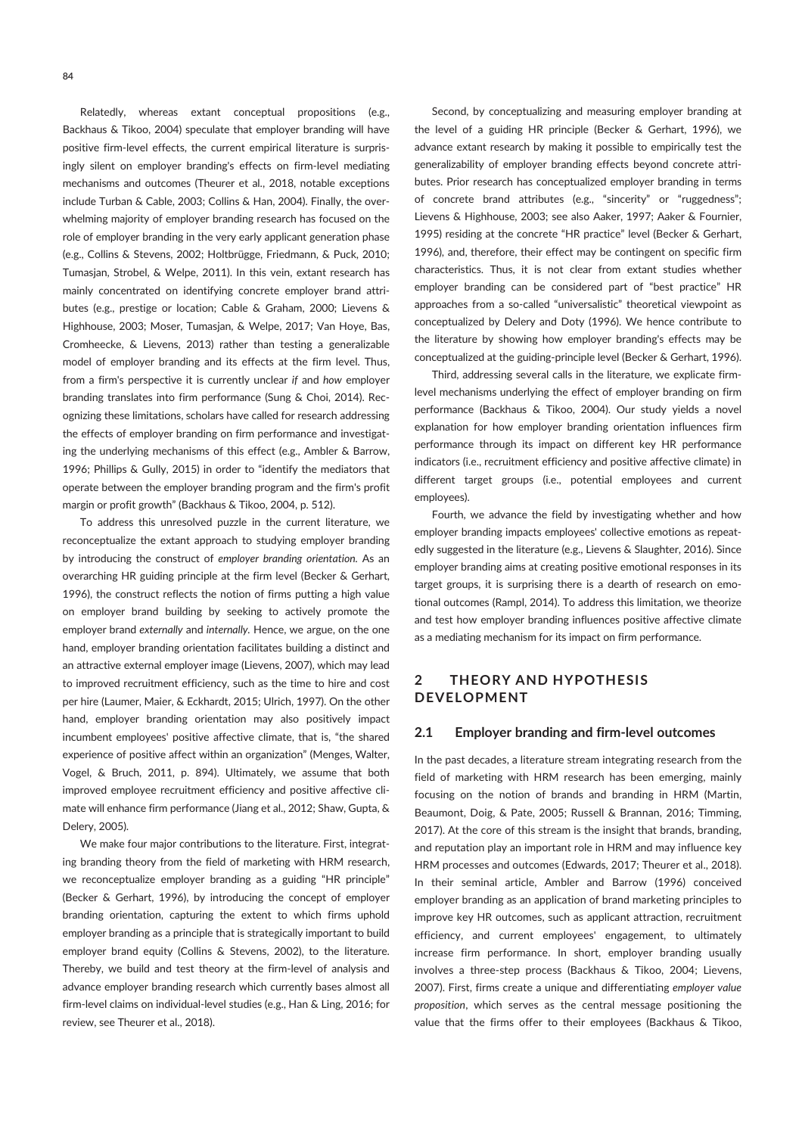Relatedly, whereas extant conceptual propositions (e.g., Backhaus & Tikoo, 2004) speculate that employer branding will have positive firm-level effects, the current empirical literature is surprisingly silent on employer branding's effects on firm-level mediating mechanisms and outcomes (Theurer et al., 2018, notable exceptions include Turban & Cable, 2003; Collins & Han, 2004). Finally, the overwhelming majority of employer branding research has focused on the role of employer branding in the very early applicant generation phase (e.g., Collins & Stevens, 2002; Holtbrügge, Friedmann, & Puck, 2010; Tumasjan, Strobel, & Welpe, 2011). In this vein, extant research has mainly concentrated on identifying concrete employer brand attributes (e.g., prestige or location; Cable & Graham, 2000; Lievens & Highhouse, 2003; Moser, Tumasjan, & Welpe, 2017; Van Hoye, Bas, Cromheecke, & Lievens, 2013) rather than testing a generalizable model of employer branding and its effects at the firm level. Thus, from a firm's perspective it is currently unclear if and how employer branding translates into firm performance (Sung & Choi, 2014). Recognizing these limitations, scholars have called for research addressing the effects of employer branding on firm performance and investigating the underlying mechanisms of this effect (e.g., Ambler & Barrow, 1996; Phillips & Gully, 2015) in order to "identify the mediators that operate between the employer branding program and the firm's profit margin or profit growth" (Backhaus & Tikoo, 2004, p. 512).

To address this unresolved puzzle in the current literature, we reconceptualize the extant approach to studying employer branding by introducing the construct of employer branding orientation. As an overarching HR guiding principle at the firm level (Becker & Gerhart, 1996), the construct reflects the notion of firms putting a high value on employer brand building by seeking to actively promote the employer brand externally and internally. Hence, we argue, on the one hand, employer branding orientation facilitates building a distinct and an attractive external employer image (Lievens, 2007), which may lead to improved recruitment efficiency, such as the time to hire and cost per hire (Laumer, Maier, & Eckhardt, 2015; Ulrich, 1997). On the other hand, employer branding orientation may also positively impact incumbent employees' positive affective climate, that is, "the shared experience of positive affect within an organization" (Menges, Walter, Vogel, & Bruch, 2011, p. 894). Ultimately, we assume that both improved employee recruitment efficiency and positive affective climate will enhance firm performance (Jiang et al., 2012; Shaw, Gupta, & Delery, 2005).

We make four major contributions to the literature. First, integrating branding theory from the field of marketing with HRM research, we reconceptualize employer branding as a guiding "HR principle" (Becker & Gerhart, 1996), by introducing the concept of employer branding orientation, capturing the extent to which firms uphold employer branding as a principle that is strategically important to build employer brand equity (Collins & Stevens, 2002), to the literature. Thereby, we build and test theory at the firm-level of analysis and advance employer branding research which currently bases almost all firm-level claims on individual-level studies (e.g., Han & Ling, 2016; for review, see Theurer et al., 2018).

Second, by conceptualizing and measuring employer branding at the level of a guiding HR principle (Becker & Gerhart, 1996), we advance extant research by making it possible to empirically test the generalizability of employer branding effects beyond concrete attributes. Prior research has conceptualized employer branding in terms of concrete brand attributes (e.g., "sincerity" or "ruggedness"; Lievens & Highhouse, 2003; see also Aaker, 1997; Aaker & Fournier, 1995) residing at the concrete "HR practice" level (Becker & Gerhart, 1996), and, therefore, their effect may be contingent on specific firm characteristics. Thus, it is not clear from extant studies whether employer branding can be considered part of "best practice" HR approaches from a so-called "universalistic" theoretical viewpoint as conceptualized by Delery and Doty (1996). We hence contribute to the literature by showing how employer branding's effects may be conceptualized at the guiding-principle level (Becker & Gerhart, 1996).

Third, addressing several calls in the literature, we explicate firmlevel mechanisms underlying the effect of employer branding on firm performance (Backhaus & Tikoo, 2004). Our study yields a novel explanation for how employer branding orientation influences firm performance through its impact on different key HR performance indicators (i.e., recruitment efficiency and positive affective climate) in different target groups (i.e., potential employees and current employees).

Fourth, we advance the field by investigating whether and how employer branding impacts employees' collective emotions as repeatedly suggested in the literature (e.g., Lievens & Slaughter, 2016). Since employer branding aims at creating positive emotional responses in its target groups, it is surprising there is a dearth of research on emotional outcomes (Rampl, 2014). To address this limitation, we theorize and test how employer branding influences positive affective climate as a mediating mechanism for its impact on firm performance.

# 2 THEORY AND HYPOTHESIS **DEVELOPMENT**

#### 2.1 Employer branding and firm-level outcomes

In the past decades, a literature stream integrating research from the field of marketing with HRM research has been emerging, mainly focusing on the notion of brands and branding in HRM (Martin, Beaumont, Doig, & Pate, 2005; Russell & Brannan, 2016; Timming, 2017). At the core of this stream is the insight that brands, branding, and reputation play an important role in HRM and may influence key HRM processes and outcomes (Edwards, 2017; Theurer et al., 2018). In their seminal article, Ambler and Barrow (1996) conceived employer branding as an application of brand marketing principles to improve key HR outcomes, such as applicant attraction, recruitment efficiency, and current employees' engagement, to ultimately increase firm performance. In short, employer branding usually involves a three-step process (Backhaus & Tikoo, 2004; Lievens, 2007). First, firms create a unique and differentiating employer value proposition, which serves as the central message positioning the value that the firms offer to their employees (Backhaus & Tikoo,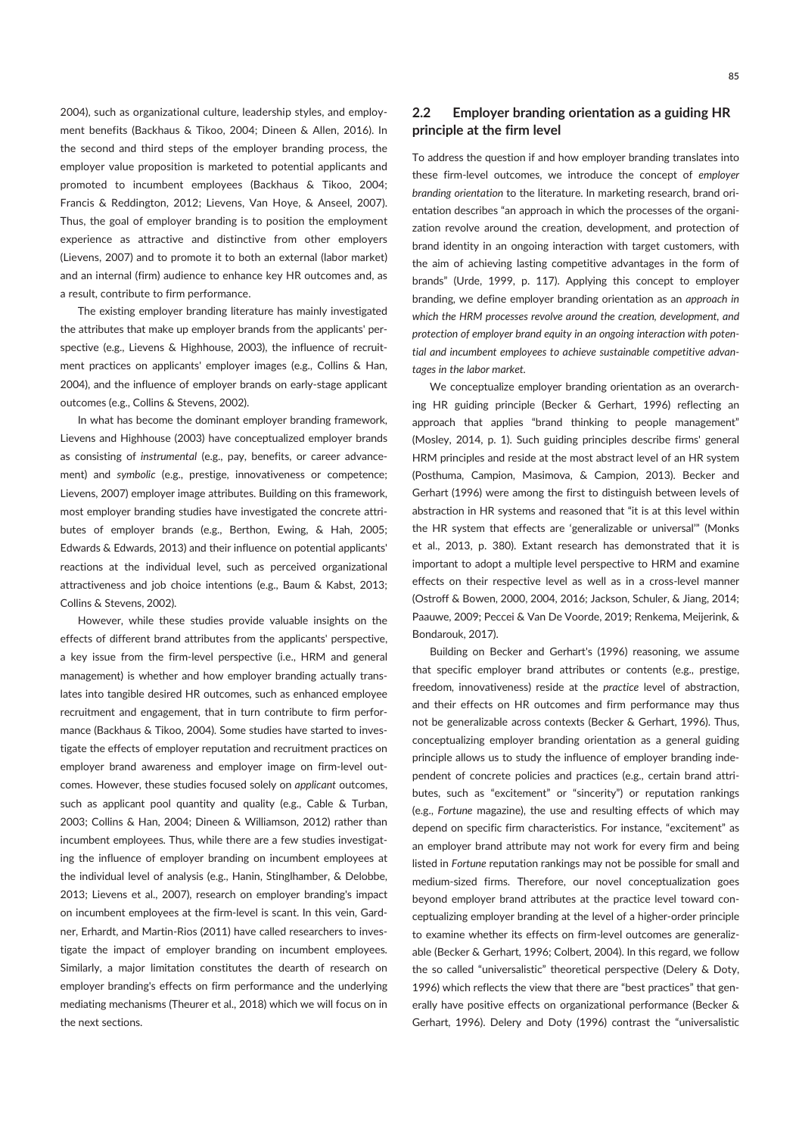2004), such as organizational culture, leadership styles, and employment benefits (Backhaus & Tikoo, 2004; Dineen & Allen, 2016). In the second and third steps of the employer branding process, the employer value proposition is marketed to potential applicants and promoted to incumbent employees (Backhaus & Tikoo, 2004; Francis & Reddington, 2012; Lievens, Van Hoye, & Anseel, 2007). Thus, the goal of employer branding is to position the employment experience as attractive and distinctive from other employers (Lievens, 2007) and to promote it to both an external (labor market) and an internal (firm) audience to enhance key HR outcomes and, as a result, contribute to firm performance.

The existing employer branding literature has mainly investigated the attributes that make up employer brands from the applicants' perspective (e.g., Lievens & Highhouse, 2003), the influence of recruitment practices on applicants' employer images (e.g., Collins & Han, 2004), and the influence of employer brands on early-stage applicant outcomes (e.g., Collins & Stevens, 2002).

In what has become the dominant employer branding framework, Lievens and Highhouse (2003) have conceptualized employer brands as consisting of instrumental (e.g., pay, benefits, or career advancement) and symbolic (e.g., prestige, innovativeness or competence; Lievens, 2007) employer image attributes. Building on this framework, most employer branding studies have investigated the concrete attributes of employer brands (e.g., Berthon, Ewing, & Hah, 2005; Edwards & Edwards, 2013) and their influence on potential applicants' reactions at the individual level, such as perceived organizational attractiveness and job choice intentions (e.g., Baum & Kabst, 2013; Collins & Stevens, 2002).

However, while these studies provide valuable insights on the effects of different brand attributes from the applicants' perspective, a key issue from the firm-level perspective (i.e., HRM and general management) is whether and how employer branding actually translates into tangible desired HR outcomes, such as enhanced employee recruitment and engagement, that in turn contribute to firm performance (Backhaus & Tikoo, 2004). Some studies have started to investigate the effects of employer reputation and recruitment practices on employer brand awareness and employer image on firm-level outcomes. However, these studies focused solely on applicant outcomes, such as applicant pool quantity and quality (e.g., Cable & Turban, 2003; Collins & Han, 2004; Dineen & Williamson, 2012) rather than incumbent employees. Thus, while there are a few studies investigating the influence of employer branding on incumbent employees at the individual level of analysis (e.g., Hanin, Stinglhamber, & Delobbe, 2013; Lievens et al., 2007), research on employer branding's impact on incumbent employees at the firm-level is scant. In this vein, Gardner, Erhardt, and Martin-Rios (2011) have called researchers to investigate the impact of employer branding on incumbent employees. Similarly, a major limitation constitutes the dearth of research on employer branding's effects on firm performance and the underlying mediating mechanisms (Theurer et al., 2018) which we will focus on in the next sections.

# 2.2 Employer branding orientation as a guiding HR principle at the firm level

To address the question if and how employer branding translates into these firm-level outcomes, we introduce the concept of employer branding orientation to the literature. In marketing research, brand orientation describes "an approach in which the processes of the organization revolve around the creation, development, and protection of brand identity in an ongoing interaction with target customers, with the aim of achieving lasting competitive advantages in the form of brands" (Urde, 1999, p. 117). Applying this concept to employer branding, we define employer branding orientation as an approach in which the HRM processes revolve around the creation, development, and protection of employer brand equity in an ongoing interaction with potential and incumbent employees to achieve sustainable competitive advantages in the labor market.

We conceptualize employer branding orientation as an overarching HR guiding principle (Becker & Gerhart, 1996) reflecting an approach that applies "brand thinking to people management" (Mosley, 2014, p. 1). Such guiding principles describe firms' general HRM principles and reside at the most abstract level of an HR system (Posthuma, Campion, Masimova, & Campion, 2013). Becker and Gerhart (1996) were among the first to distinguish between levels of abstraction in HR systems and reasoned that "it is at this level within the HR system that effects are 'generalizable or universal'" (Monks et al., 2013, p. 380). Extant research has demonstrated that it is important to adopt a multiple level perspective to HRM and examine effects on their respective level as well as in a cross-level manner (Ostroff & Bowen, 2000, 2004, 2016; Jackson, Schuler, & Jiang, 2014; Paauwe, 2009; Peccei & Van De Voorde, 2019; Renkema, Meijerink, & Bondarouk, 2017).

Building on Becker and Gerhart's (1996) reasoning, we assume that specific employer brand attributes or contents (e.g., prestige, freedom, innovativeness) reside at the practice level of abstraction, and their effects on HR outcomes and firm performance may thus not be generalizable across contexts (Becker & Gerhart, 1996). Thus, conceptualizing employer branding orientation as a general guiding principle allows us to study the influence of employer branding independent of concrete policies and practices (e.g., certain brand attributes, such as "excitement" or "sincerity") or reputation rankings (e.g., Fortune magazine), the use and resulting effects of which may depend on specific firm characteristics. For instance, "excitement" as an employer brand attribute may not work for every firm and being listed in Fortune reputation rankings may not be possible for small and medium-sized firms. Therefore, our novel conceptualization goes beyond employer brand attributes at the practice level toward conceptualizing employer branding at the level of a higher-order principle to examine whether its effects on firm-level outcomes are generalizable (Becker & Gerhart, 1996; Colbert, 2004). In this regard, we follow the so called "universalistic" theoretical perspective (Delery & Doty, 1996) which reflects the view that there are "best practices" that generally have positive effects on organizational performance (Becker & Gerhart, 1996). Delery and Doty (1996) contrast the "universalistic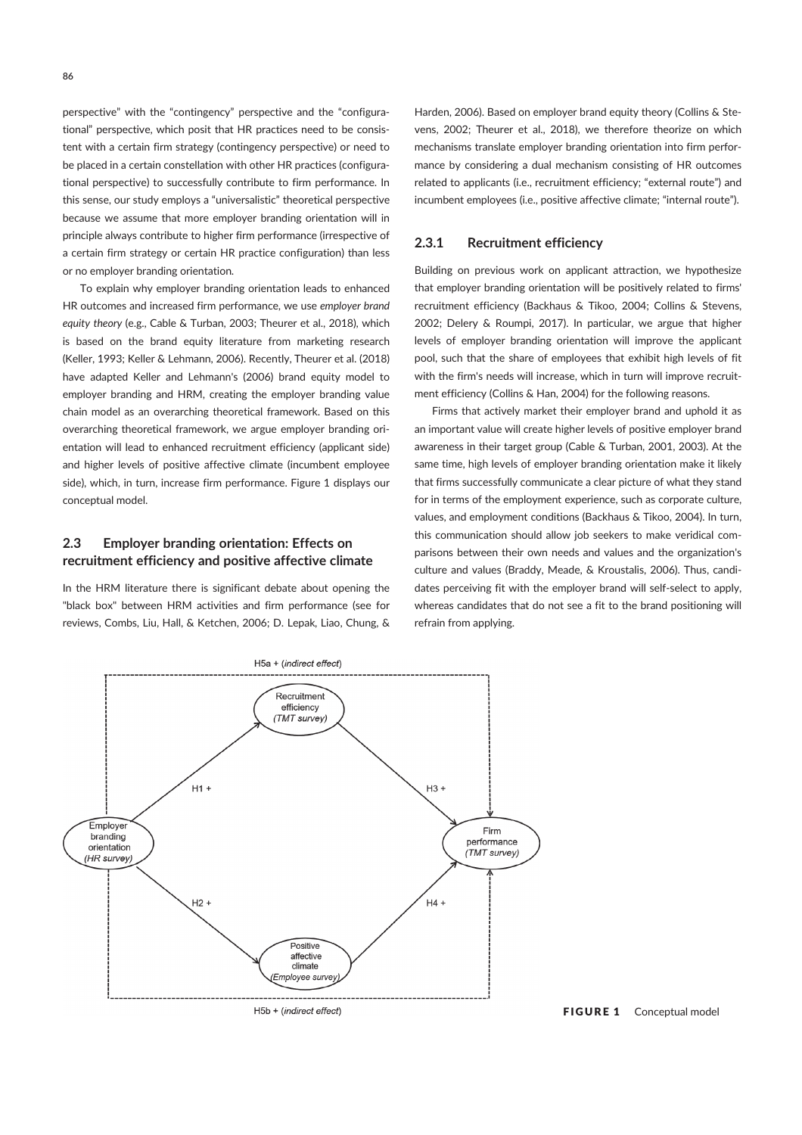perspective" with the "contingency" perspective and the "configurational" perspective, which posit that HR practices need to be consistent with a certain firm strategy (contingency perspective) or need to be placed in a certain constellation with other HR practices (configurational perspective) to successfully contribute to firm performance. In this sense, our study employs a "universalistic" theoretical perspective because we assume that more employer branding orientation will in principle always contribute to higher firm performance (irrespective of a certain firm strategy or certain HR practice configuration) than less or no employer branding orientation.

To explain why employer branding orientation leads to enhanced HR outcomes and increased firm performance, we use employer brand equity theory (e.g., Cable & Turban, 2003; Theurer et al., 2018), which is based on the brand equity literature from marketing research (Keller, 1993; Keller & Lehmann, 2006). Recently, Theurer et al. (2018) have adapted Keller and Lehmann's (2006) brand equity model to employer branding and HRM, creating the employer branding value chain model as an overarching theoretical framework. Based on this overarching theoretical framework, we argue employer branding orientation will lead to enhanced recruitment efficiency (applicant side) and higher levels of positive affective climate (incumbent employee side), which, in turn, increase firm performance. Figure 1 displays our conceptual model.

# 2.3 Employer branding orientation: Effects on recruitment efficiency and positive affective climate

In the HRM literature there is significant debate about opening the "black box" between HRM activities and firm performance (see for reviews, Combs, Liu, Hall, & Ketchen, 2006; D. Lepak, Liao, Chung, & Harden, 2006). Based on employer brand equity theory (Collins & Stevens, 2002; Theurer et al., 2018), we therefore theorize on which mechanisms translate employer branding orientation into firm performance by considering a dual mechanism consisting of HR outcomes related to applicants (i.e., recruitment efficiency; "external route") and incumbent employees (i.e., positive affective climate; "internal route").

# 2.3.1 Recruitment efficiency

Building on previous work on applicant attraction, we hypothesize that employer branding orientation will be positively related to firms' recruitment efficiency (Backhaus & Tikoo, 2004; Collins & Stevens, 2002; Delery & Roumpi, 2017). In particular, we argue that higher levels of employer branding orientation will improve the applicant pool, such that the share of employees that exhibit high levels of fit with the firm's needs will increase, which in turn will improve recruitment efficiency (Collins & Han, 2004) for the following reasons.

Firms that actively market their employer brand and uphold it as an important value will create higher levels of positive employer brand awareness in their target group (Cable & Turban, 2001, 2003). At the same time, high levels of employer branding orientation make it likely that firms successfully communicate a clear picture of what they stand for in terms of the employment experience, such as corporate culture, values, and employment conditions (Backhaus & Tikoo, 2004). In turn, this communication should allow job seekers to make veridical comparisons between their own needs and values and the organization's culture and values (Braddy, Meade, & Kroustalis, 2006). Thus, candidates perceiving fit with the employer brand will self-select to apply, whereas candidates that do not see a fit to the brand positioning will refrain from applying.



FIGURE 1 Conceptual model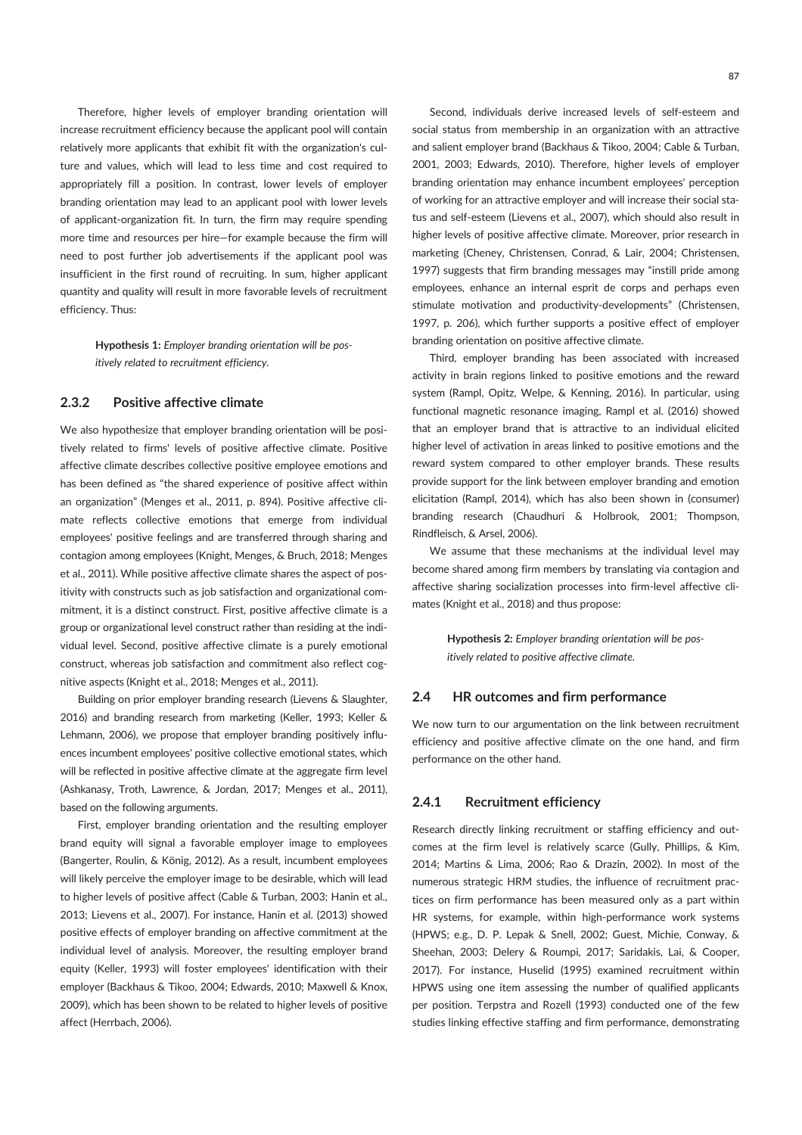Therefore, higher levels of employer branding orientation will increase recruitment efficiency because the applicant pool will contain relatively more applicants that exhibit fit with the organization's culture and values, which will lead to less time and cost required to appropriately fill a position. In contrast, lower levels of employer branding orientation may lead to an applicant pool with lower levels of applicant-organization fit. In turn, the firm may require spending more time and resources per hire—for example because the firm will need to post further job advertisements if the applicant pool was insufficient in the first round of recruiting. In sum, higher applicant quantity and quality will result in more favorable levels of recruitment efficiency. Thus:

> Hypothesis 1: Employer branding orientation will be positively related to recruitment efficiency.

### 2.3.2 Positive affective climate

We also hypothesize that employer branding orientation will be positively related to firms' levels of positive affective climate. Positive affective climate describes collective positive employee emotions and has been defined as "the shared experience of positive affect within an organization" (Menges et al., 2011, p. 894). Positive affective climate reflects collective emotions that emerge from individual employees' positive feelings and are transferred through sharing and contagion among employees (Knight, Menges, & Bruch, 2018; Menges et al., 2011). While positive affective climate shares the aspect of positivity with constructs such as job satisfaction and organizational commitment, it is a distinct construct. First, positive affective climate is a group or organizational level construct rather than residing at the individual level. Second, positive affective climate is a purely emotional construct, whereas job satisfaction and commitment also reflect cognitive aspects (Knight et al., 2018; Menges et al., 2011).

Building on prior employer branding research (Lievens & Slaughter, 2016) and branding research from marketing (Keller, 1993; Keller & Lehmann, 2006), we propose that employer branding positively influences incumbent employees' positive collective emotional states, which will be reflected in positive affective climate at the aggregate firm level (Ashkanasy, Troth, Lawrence, & Jordan, 2017; Menges et al., 2011), based on the following arguments.

First, employer branding orientation and the resulting employer brand equity will signal a favorable employer image to employees (Bangerter, Roulin, & König, 2012). As a result, incumbent employees will likely perceive the employer image to be desirable, which will lead to higher levels of positive affect (Cable & Turban, 2003; Hanin et al., 2013; Lievens et al., 2007). For instance, Hanin et al. (2013) showed positive effects of employer branding on affective commitment at the individual level of analysis. Moreover, the resulting employer brand equity (Keller, 1993) will foster employees' identification with their employer (Backhaus & Tikoo, 2004; Edwards, 2010; Maxwell & Knox, 2009), which has been shown to be related to higher levels of positive affect (Herrbach, 2006).

Second, individuals derive increased levels of self-esteem and social status from membership in an organization with an attractive and salient employer brand (Backhaus & Tikoo, 2004; Cable & Turban, 2001, 2003; Edwards, 2010). Therefore, higher levels of employer branding orientation may enhance incumbent employees' perception of working for an attractive employer and will increase their social status and self-esteem (Lievens et al., 2007), which should also result in higher levels of positive affective climate. Moreover, prior research in marketing (Cheney, Christensen, Conrad, & Lair, 2004; Christensen, 1997) suggests that firm branding messages may "instill pride among employees, enhance an internal esprit de corps and perhaps even stimulate motivation and productivity-developments" (Christensen, 1997, p. 206), which further supports a positive effect of employer branding orientation on positive affective climate.

Third, employer branding has been associated with increased activity in brain regions linked to positive emotions and the reward system (Rampl, Opitz, Welpe, & Kenning, 2016). In particular, using functional magnetic resonance imaging, Rampl et al. (2016) showed that an employer brand that is attractive to an individual elicited higher level of activation in areas linked to positive emotions and the reward system compared to other employer brands. These results provide support for the link between employer branding and emotion elicitation (Rampl, 2014), which has also been shown in (consumer) branding research (Chaudhuri & Holbrook, 2001; Thompson, Rindfleisch, & Arsel, 2006).

We assume that these mechanisms at the individual level may become shared among firm members by translating via contagion and affective sharing socialization processes into firm-level affective climates (Knight et al., 2018) and thus propose:

> Hypothesis 2: Employer branding orientation will be positively related to positive affective climate.

### 2.4 HR outcomes and firm performance

We now turn to our argumentation on the link between recruitment efficiency and positive affective climate on the one hand, and firm performance on the other hand.

### 2.4.1 Recruitment efficiency

Research directly linking recruitment or staffing efficiency and outcomes at the firm level is relatively scarce (Gully, Phillips, & Kim, 2014; Martins & Lima, 2006; Rao & Drazin, 2002). In most of the numerous strategic HRM studies, the influence of recruitment practices on firm performance has been measured only as a part within HR systems, for example, within high-performance work systems (HPWS; e.g., D. P. Lepak & Snell, 2002; Guest, Michie, Conway, & Sheehan, 2003; Delery & Roumpi, 2017; Saridakis, Lai, & Cooper, 2017). For instance, Huselid (1995) examined recruitment within HPWS using one item assessing the number of qualified applicants per position. Terpstra and Rozell (1993) conducted one of the few studies linking effective staffing and firm performance, demonstrating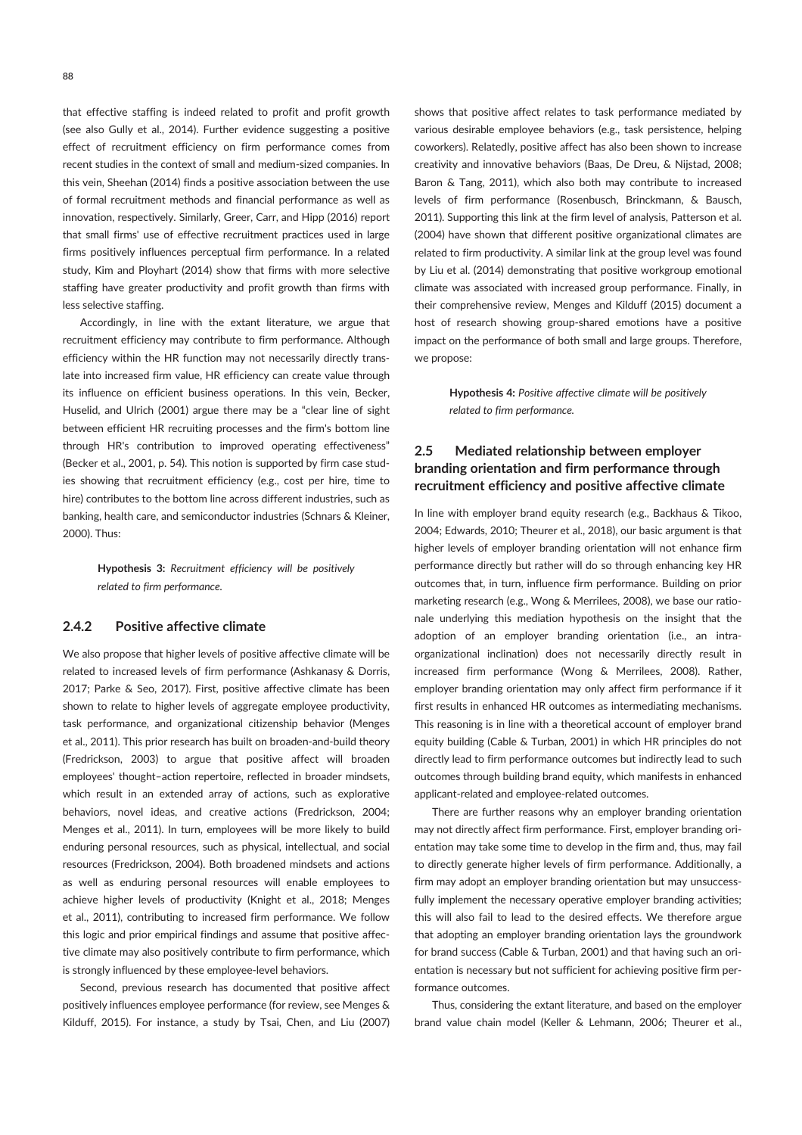88

that effective staffing is indeed related to profit and profit growth (see also Gully et al., 2014). Further evidence suggesting a positive effect of recruitment efficiency on firm performance comes from recent studies in the context of small and medium-sized companies. In this vein, Sheehan (2014) finds a positive association between the use of formal recruitment methods and financial performance as well as innovation, respectively. Similarly, Greer, Carr, and Hipp (2016) report that small firms' use of effective recruitment practices used in large firms positively influences perceptual firm performance. In a related study, Kim and Ployhart (2014) show that firms with more selective staffing have greater productivity and profit growth than firms with less selective staffing.

Accordingly, in line with the extant literature, we argue that recruitment efficiency may contribute to firm performance. Although efficiency within the HR function may not necessarily directly translate into increased firm value, HR efficiency can create value through its influence on efficient business operations. In this vein, Becker, Huselid, and Ulrich (2001) argue there may be a "clear line of sight between efficient HR recruiting processes and the firm's bottom line through HR's contribution to improved operating effectiveness" (Becker et al., 2001, p. 54). This notion is supported by firm case studies showing that recruitment efficiency (e.g., cost per hire, time to hire) contributes to the bottom line across different industries, such as banking, health care, and semiconductor industries (Schnars & Kleiner, 2000). Thus:

> Hypothesis 3: Recruitment efficiency will be positively related to firm performance.

### 2.4.2 Positive affective climate

We also propose that higher levels of positive affective climate will be related to increased levels of firm performance (Ashkanasy & Dorris, 2017; Parke & Seo, 2017). First, positive affective climate has been shown to relate to higher levels of aggregate employee productivity, task performance, and organizational citizenship behavior (Menges et al., 2011). This prior research has built on broaden-and-build theory (Fredrickson, 2003) to argue that positive affect will broaden employees' thought–action repertoire, reflected in broader mindsets, which result in an extended array of actions, such as explorative behaviors, novel ideas, and creative actions (Fredrickson, 2004; Menges et al., 2011). In turn, employees will be more likely to build enduring personal resources, such as physical, intellectual, and social resources (Fredrickson, 2004). Both broadened mindsets and actions as well as enduring personal resources will enable employees to achieve higher levels of productivity (Knight et al., 2018; Menges et al., 2011), contributing to increased firm performance. We follow this logic and prior empirical findings and assume that positive affective climate may also positively contribute to firm performance, which is strongly influenced by these employee-level behaviors.

Second, previous research has documented that positive affect positively influences employee performance (for review, see Menges & Kilduff, 2015). For instance, a study by Tsai, Chen, and Liu (2007)

shows that positive affect relates to task performance mediated by various desirable employee behaviors (e.g., task persistence, helping coworkers). Relatedly, positive affect has also been shown to increase creativity and innovative behaviors (Baas, De Dreu, & Nijstad, 2008; Baron & Tang, 2011), which also both may contribute to increased levels of firm performance (Rosenbusch, Brinckmann, & Bausch, 2011). Supporting this link at the firm level of analysis, Patterson et al. (2004) have shown that different positive organizational climates are related to firm productivity. A similar link at the group level was found by Liu et al. (2014) demonstrating that positive workgroup emotional climate was associated with increased group performance. Finally, in their comprehensive review, Menges and Kilduff (2015) document a host of research showing group-shared emotions have a positive impact on the performance of both small and large groups. Therefore, we propose:

> Hypothesis 4: Positive affective climate will be positively related to firm performance.

# 2.5 Mediated relationship between employer branding orientation and firm performance through recruitment efficiency and positive affective climate

In line with employer brand equity research (e.g., Backhaus & Tikoo, 2004; Edwards, 2010; Theurer et al., 2018), our basic argument is that higher levels of employer branding orientation will not enhance firm performance directly but rather will do so through enhancing key HR outcomes that, in turn, influence firm performance. Building on prior marketing research (e.g., Wong & Merrilees, 2008), we base our rationale underlying this mediation hypothesis on the insight that the adoption of an employer branding orientation (i.e., an intraorganizational inclination) does not necessarily directly result in increased firm performance (Wong & Merrilees, 2008). Rather, employer branding orientation may only affect firm performance if it first results in enhanced HR outcomes as intermediating mechanisms. This reasoning is in line with a theoretical account of employer brand equity building (Cable & Turban, 2001) in which HR principles do not directly lead to firm performance outcomes but indirectly lead to such outcomes through building brand equity, which manifests in enhanced applicant-related and employee-related outcomes.

There are further reasons why an employer branding orientation may not directly affect firm performance. First, employer branding orientation may take some time to develop in the firm and, thus, may fail to directly generate higher levels of firm performance. Additionally, a firm may adopt an employer branding orientation but may unsuccessfully implement the necessary operative employer branding activities; this will also fail to lead to the desired effects. We therefore argue that adopting an employer branding orientation lays the groundwork for brand success (Cable & Turban, 2001) and that having such an orientation is necessary but not sufficient for achieving positive firm performance outcomes.

Thus, considering the extant literature, and based on the employer brand value chain model (Keller & Lehmann, 2006; Theurer et al.,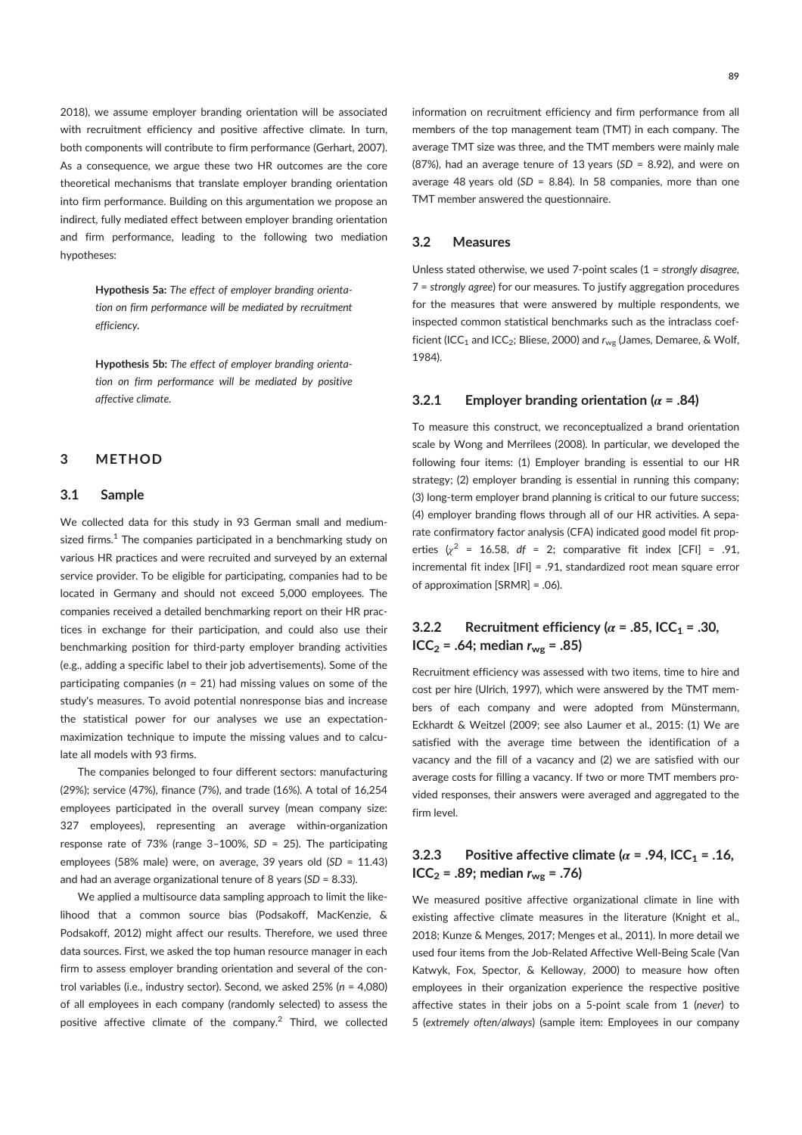2018), we assume employer branding orientation will be associated with recruitment efficiency and positive affective climate. In turn, both components will contribute to firm performance (Gerhart, 2007). As a consequence, we argue these two HR outcomes are the core theoretical mechanisms that translate employer branding orientation into firm performance. Building on this argumentation we propose an indirect, fully mediated effect between employer branding orientation and firm performance, leading to the following two mediation hypotheses:

> Hypothesis 5a: The effect of employer branding orientation on firm performance will be mediated by recruitment efficiency.

> Hypothesis 5b: The effect of employer branding orientation on firm performance will be mediated by positive affective climate.

### 3 METHOD

### 3.1 Sample

We collected data for this study in 93 German small and mediumsized firms. $^1$  The companies participated in a benchmarking study on various HR practices and were recruited and surveyed by an external service provider. To be eligible for participating, companies had to be located in Germany and should not exceed 5,000 employees. The companies received a detailed benchmarking report on their HR practices in exchange for their participation, and could also use their benchmarking position for third-party employer branding activities (e.g., adding a specific label to their job advertisements). Some of the participating companies ( $n = 21$ ) had missing values on some of the study's measures. To avoid potential nonresponse bias and increase the statistical power for our analyses we use an expectationmaximization technique to impute the missing values and to calculate all models with 93 firms.

The companies belonged to four different sectors: manufacturing (29%); service (47%), finance (7%), and trade (16%). A total of 16,254 employees participated in the overall survey (mean company size: 327 employees), representing an average within-organization response rate of 73% (range  $3-100\%$ , SD = 25). The participating employees (58% male) were, on average, 39 years old (SD = 11.43) and had an average organizational tenure of 8 years (SD = 8.33).

We applied a multisource data sampling approach to limit the likelihood that a common source bias (Podsakoff, MacKenzie, & Podsakoff, 2012) might affect our results. Therefore, we used three data sources. First, we asked the top human resource manager in each firm to assess employer branding orientation and several of the control variables (i.e., industry sector). Second, we asked 25% (n = 4,080) of all employees in each company (randomly selected) to assess the positive affective climate of the company.<sup>2</sup> Third, we collected

information on recruitment efficiency and firm performance from all members of the top management team (TMT) in each company. The average TMT size was three, and the TMT members were mainly male (87%), had an average tenure of 13 years ( $SD = 8.92$ ), and were on average 48 years old ( $SD = 8.84$ ). In 58 companies, more than one TMT member answered the questionnaire.

# 3.2 Measures

Unless stated otherwise, we used 7-point scales (1 = strongly disagree, 7 = strongly agree) for our measures. To justify aggregation procedures for the measures that were answered by multiple respondents, we inspected common statistical benchmarks such as the intraclass coefficient (ICC<sub>1</sub> and ICC<sub>2</sub>; Bliese, 2000) and  $r_{wg}$  (James, Demaree, & Wolf, 1984).

#### 3.2.1 Employer branding orientation ( $\alpha$  = .84)

To measure this construct, we reconceptualized a brand orientation scale by Wong and Merrilees (2008). In particular, we developed the following four items: (1) Employer branding is essential to our HR strategy; (2) employer branding is essential in running this company; (3) long-term employer brand planning is critical to our future success; (4) employer branding flows through all of our HR activities. A separate confirmatory factor analysis (CFA) indicated good model fit properties  $\chi^2$  = 16.58, df = 2; comparative fit index [CFI] = .91, incremental fit index [IFI] = .91, standardized root mean square error of approximation [SRMR] = .06).

# 3.2.2 Recruitment efficiency ( $\alpha$  = .85, ICC<sub>1</sub> = .30,  $ICC_2 = .64$ ; median  $r_{wg} = .85$ )

Recruitment efficiency was assessed with two items, time to hire and cost per hire (Ulrich, 1997), which were answered by the TMT members of each company and were adopted from Münstermann, Eckhardt & Weitzel (2009; see also Laumer et al., 2015: (1) We are satisfied with the average time between the identification of a vacancy and the fill of a vacancy and (2) we are satisfied with our average costs for filling a vacancy. If two or more TMT members provided responses, their answers were averaged and aggregated to the firm level.

# 3.2.3 Positive affective climate ( $\alpha$  = .94, ICC<sub>1</sub> = .16,  $ICC_2 = .89$ ; median  $r_{wg} = .76$ )

We measured positive affective organizational climate in line with existing affective climate measures in the literature (Knight et al., 2018; Kunze & Menges, 2017; Menges et al., 2011). In more detail we used four items from the Job-Related Affective Well-Being Scale (Van Katwyk, Fox, Spector, & Kelloway, 2000) to measure how often employees in their organization experience the respective positive affective states in their jobs on a 5-point scale from 1 (never) to 5 (extremely often/always) (sample item: Employees in our company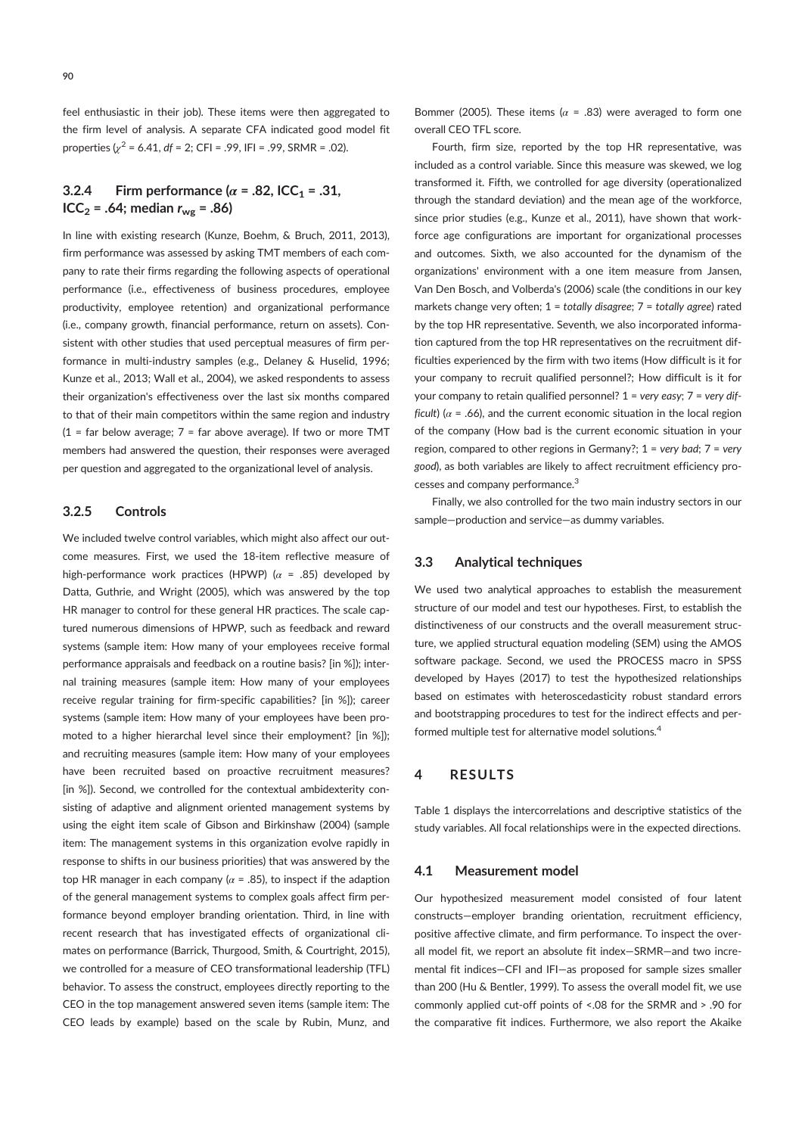feel enthusiastic in their job). These items were then aggregated to the firm level of analysis. A separate CFA indicated good model fit properties  $\chi^2$  = 6.41, df = 2; CFI = .99, IFI = .99, SRMR = .02).

# 3.2.4 Firm performance ( $\alpha$  = .82, ICC<sub>1</sub> = .31,  $ICC_2 = .64$ ; median  $r_{wg} = .86$ )

In line with existing research (Kunze, Boehm, & Bruch, 2011, 2013), firm performance was assessed by asking TMT members of each company to rate their firms regarding the following aspects of operational performance (i.e., effectiveness of business procedures, employee productivity, employee retention) and organizational performance (i.e., company growth, financial performance, return on assets). Consistent with other studies that used perceptual measures of firm performance in multi-industry samples (e.g., Delaney & Huselid, 1996; Kunze et al., 2013; Wall et al., 2004), we asked respondents to assess their organization's effectiveness over the last six months compared to that of their main competitors within the same region and industry  $(1 = \text{far below average}; 7 = \text{far above average})$ . If two or more TMT members had answered the question, their responses were averaged per question and aggregated to the organizational level of analysis.

# 3.2.5 Controls

We included twelve control variables, which might also affect our outcome measures. First, we used the 18-item reflective measure of high-performance work practices (HPWP) ( $\alpha$  = .85) developed by Datta, Guthrie, and Wright (2005), which was answered by the top HR manager to control for these general HR practices. The scale captured numerous dimensions of HPWP, such as feedback and reward systems (sample item: How many of your employees receive formal performance appraisals and feedback on a routine basis? [in %]); internal training measures (sample item: How many of your employees receive regular training for firm-specific capabilities? [in %]); career systems (sample item: How many of your employees have been promoted to a higher hierarchal level since their employment? [in %]); and recruiting measures (sample item: How many of your employees have been recruited based on proactive recruitment measures? [in %]). Second, we controlled for the contextual ambidexterity consisting of adaptive and alignment oriented management systems by using the eight item scale of Gibson and Birkinshaw (2004) (sample item: The management systems in this organization evolve rapidly in response to shifts in our business priorities) that was answered by the top HR manager in each company ( $\alpha$  = .85), to inspect if the adaption of the general management systems to complex goals affect firm performance beyond employer branding orientation. Third, in line with recent research that has investigated effects of organizational climates on performance (Barrick, Thurgood, Smith, & Courtright, 2015), we controlled for a measure of CEO transformational leadership (TFL) behavior. To assess the construct, employees directly reporting to the CEO in the top management answered seven items (sample item: The CEO leads by example) based on the scale by Rubin, Munz, and Bommer (2005). These items ( $\alpha$  = .83) were averaged to form one overall CEO TFL score.

Fourth, firm size, reported by the top HR representative, was included as a control variable. Since this measure was skewed, we log transformed it. Fifth, we controlled for age diversity (operationalized through the standard deviation) and the mean age of the workforce, since prior studies (e.g., Kunze et al., 2011), have shown that workforce age configurations are important for organizational processes and outcomes. Sixth, we also accounted for the dynamism of the organizations' environment with a one item measure from Jansen, Van Den Bosch, and Volberda's (2006) scale (the conditions in our key markets change very often:  $1 =$  totally disagree:  $7 =$  totally agree) rated by the top HR representative. Seventh, we also incorporated information captured from the top HR representatives on the recruitment difficulties experienced by the firm with two items (How difficult is it for your company to recruit qualified personnel?; How difficult is it for your company to retain qualified personnel?  $1 = \text{very easy}$ ;  $7 = \text{very dif-}$ ficult) ( $\alpha$  = .66), and the current economic situation in the local region of the company (How bad is the current economic situation in your region, compared to other regions in Germany?;  $1 = \text{very bad}$ ;  $7 = \text{very}$ good), as both variables are likely to affect recruitment efficiency processes and company performance.<sup>3</sup>

Finally, we also controlled for the two main industry sectors in our sample—production and service—as dummy variables.

### 3.3 Analytical techniques

We used two analytical approaches to establish the measurement structure of our model and test our hypotheses. First, to establish the distinctiveness of our constructs and the overall measurement structure, we applied structural equation modeling (SEM) using the AMOS software package. Second, we used the PROCESS macro in SPSS developed by Hayes (2017) to test the hypothesized relationships based on estimates with heteroscedasticity robust standard errors and bootstrapping procedures to test for the indirect effects and performed multiple test for alternative model solutions.<sup>4</sup>

# 4 RESULTS

Table 1 displays the intercorrelations and descriptive statistics of the study variables. All focal relationships were in the expected directions.

#### 4.1 Measurement model

Our hypothesized measurement model consisted of four latent constructs—employer branding orientation, recruitment efficiency, positive affective climate, and firm performance. To inspect the overall model fit, we report an absolute fit index—SRMR—and two incremental fit indices—CFI and IFI—as proposed for sample sizes smaller than 200 (Hu & Bentler, 1999). To assess the overall model fit, we use commonly applied cut-off points of <.08 for the SRMR and > .90 for the comparative fit indices. Furthermore, we also report the Akaike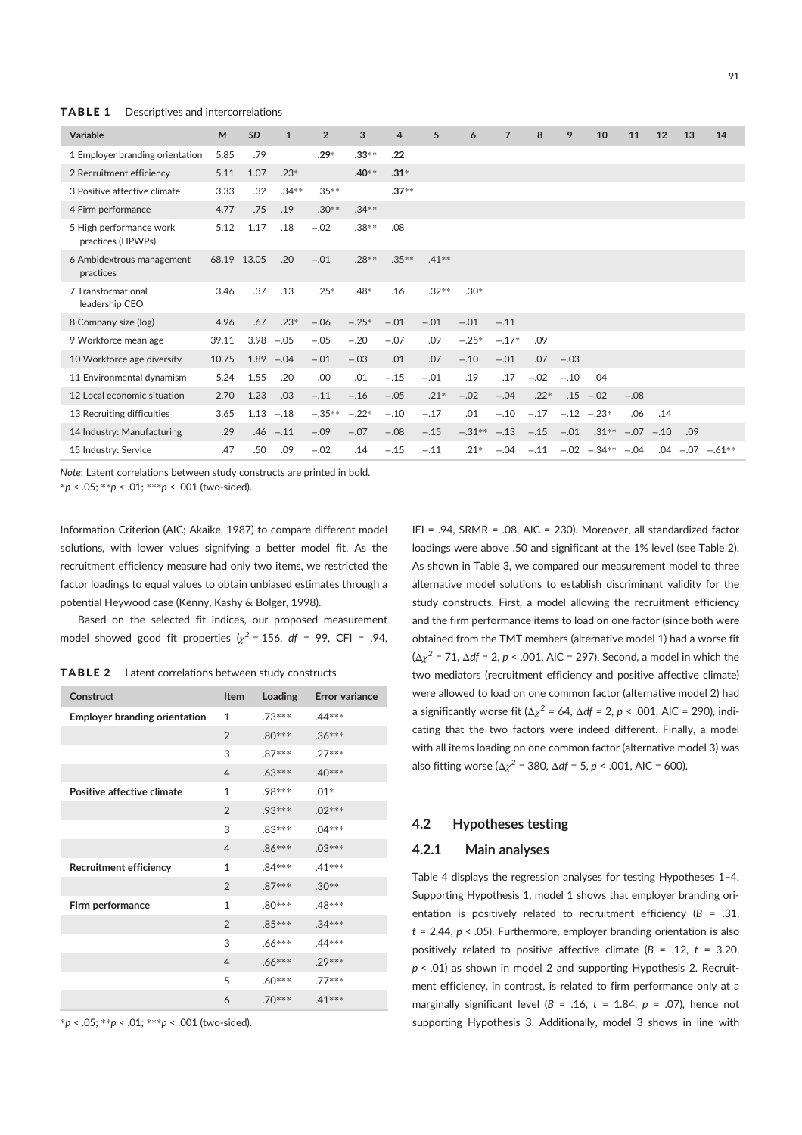**TABLE 1** Descriptives and intercorrelations

| Variable                                     | M     | <b>SD</b> | $\mathbf{1}$ | $\overline{2}$ | 3        | 4        | 5       | 6        | $\overline{7}$ | 8      | 9      | 10             | 11     | 12     | 13  | 14                   |  |
|----------------------------------------------|-------|-----------|--------------|----------------|----------|----------|---------|----------|----------------|--------|--------|----------------|--------|--------|-----|----------------------|--|
| 1 Employer branding orientation              | 5.85  | .79       |              | $.29*$         | $.33***$ | .22      |         |          |                |        |        |                |        |        |     |                      |  |
| 2 Recruitment efficiency                     | 5.11  | 1.07      | $.23*$       |                | $.40**$  | $.31*$   |         |          |                |        |        |                |        |        |     |                      |  |
| 3 Positive affective climate                 | 3.33  | .32       | $.34***$     | $.35**$        |          | $.37**$  |         |          |                |        |        |                |        |        |     |                      |  |
| 4 Firm performance                           | 4.77  | .75       | .19          | $.30**$        | $.34**$  |          |         |          |                |        |        |                |        |        |     |                      |  |
| 5 High performance work<br>practices (HPWPs) | 5.12  | 1.17      | .18          | $-.02$         | $.38**$  | .08      |         |          |                |        |        |                |        |        |     |                      |  |
| 6 Ambidextrous management<br>practices       | 68.19 | 13.05     | .20          | $-.01$         | .28**    | $.35***$ | $.41**$ |          |                |        |        |                |        |        |     |                      |  |
| 7 Transformational<br>leadership CEO         | 3.46  | .37       | .13          | $.25*$         | $.48*$   | .16      | $.32**$ | $.30*$   |                |        |        |                |        |        |     |                      |  |
| 8 Company size (log)                         | 4.96  | .67       | $.23*$       | $-.06$         | $-.25*$  | $-.01$   | $-.01$  | $-.01$   | $-.11$         |        |        |                |        |        |     |                      |  |
| 9 Workforce mean age                         | 39.11 | 3.98      | $-.05$       | $-.05$         | $-.20$   | $-.07$   | .09     | $-.25*$  | $-.17*$        | .09    |        |                |        |        |     |                      |  |
| 10 Workforce age diversity                   | 10.75 | 1.89      | $-.04$       | $-.01$         | $-.03$   | .01      | .07     | $-.10$   | $-.01$         | .07    | $-.03$ |                |        |        |     |                      |  |
| 11 Environmental dynamism                    | 5.24  | 1.55      | .20          | .00            | .01      | $-.15$   | $-.01$  | .19      | .17            | $-.02$ | $-.10$ | .04            |        |        |     |                      |  |
| 12 Local economic situation                  | 2.70  | 1.23      | .03          | $-.11$         | $-.16$   | $-.05$   | $.21*$  | $-.02$   | $-.04$         | $.22*$ | .15    | $-.02$         | $-.08$ |        |     |                      |  |
| 13 Recruiting difficulties                   | 3.65  | 1.13      | $-.18$       | $-.35**$       | $-.22*$  | $-.10$   | $-.17$  | .01      | $-.10$         | $-.17$ |        | $-.12 - .23*$  | .06    | .14    |     |                      |  |
| 14 Industry: Manufacturing                   | .29   | .46       | $-.11$       | $-.09$         | $-.07$   | $-.08$   | $-.15$  | $-.31**$ | $-.13$         | $-.15$ | $-.01$ | $.31**$        | $-.07$ | $-.10$ | .09 |                      |  |
| 15 Industry: Service                         | .47   | .50       | .09          | $-.02$         | .14      | $-.15$   | $-.11$  | $.21*$   | $-.04$         | $-.11$ |        | $-.02 - .34**$ | $-.04$ |        |     | $.04 - .07 - .61***$ |  |

Note: Latent correlations between study constructs are printed in bold.

\*p < .05; \*\*p < .01; \*\*\*p < .001 (two-sided).

Information Criterion (AIC; Akaike, 1987) to compare different model solutions, with lower values signifying a better model fit. As the recruitment efficiency measure had only two items, we restricted the factor loadings to equal values to obtain unbiased estimates through a potential Heywood case (Kenny, Kashy & Bolger, 1998).

Based on the selected fit indices, our proposed measurement model showed good fit properties  $\chi^2$  = 156, df = 99, CFI = .94,

TABLE 2 Latent correlations between study constructs

| Construct                            | <b>Item</b>    | Loading  | <b>Error variance</b> |
|--------------------------------------|----------------|----------|-----------------------|
| <b>Employer branding orientation</b> | $\mathbf{1}$   | .73***   | .44***                |
|                                      | $\mathfrak{D}$ | $.80***$ | $.36***$              |
|                                      | 3              | $.87***$ | $.27***$              |
|                                      | $\overline{4}$ | $.63***$ | .40***                |
| Positive affective climate           | 1              | .98***   | $.01*$                |
|                                      | $\overline{2}$ | $.93***$ | $.02***$              |
|                                      | 3              | $.83***$ | $.04***$              |
|                                      | $\overline{4}$ | $.86***$ | $.03***$              |
| <b>Recruitment efficiency</b>        | $\mathbf{1}$   | $.84***$ | $.41***$              |
|                                      | $\mathfrak{D}$ | 87***    | $.30**$               |
| Firm performance                     | 1              | $.80***$ | .48***                |
|                                      | $\overline{2}$ | $.85***$ | $.34***$              |
|                                      | 3              | $.66***$ | .44***                |
|                                      | $\overline{4}$ | $.66***$ | .29 ***               |
|                                      | 5              | $.60***$ | .77***                |
|                                      | 6              | .70***   | 41 ***                |

 $*p < .05; **p < .01; ***p < .001$  (two-sided).

IFI = .94, SRMR = .08, AIC = 230). Moreover, all standardized factor loadings were above .50 and significant at the 1% level (see Table 2). As shown in Table 3, we compared our measurement model to three alternative model solutions to establish discriminant validity for the study constructs. First, a model allowing the recruitment efficiency and the firm performance items to load on one factor (since both were obtained from the TMT members (alternative model 1) had a worse fit ( $\Delta \chi^2$  = 71,  $\Delta df$  = 2, p < .001, AIC = 297). Second, a model in which the two mediators (recruitment efficiency and positive affective climate) were allowed to load on one common factor (alternative model 2) had a significantly worse fit ( $\Delta \chi^2$  = 64,  $\Delta df$  = 2, p < .001, AIC = 290), indicating that the two factors were indeed different. Finally, a model with all items loading on one common factor (alternative model 3) was also fitting worse ( $\Delta \chi^2$  = 380,  $\Delta df$  = 5, *p* < .001, AIC = 600).

# 4.2 Hypotheses testing

### 4.2.1 Main analyses

Table 4 displays the regression analyses for testing Hypotheses 1–4. Supporting Hypothesis 1, model 1 shows that employer branding orientation is positively related to recruitment efficiency ( $B = .31$ ,  $t = 2.44$ ,  $p < .05$ ). Furthermore, employer branding orientation is also positively related to positive affective climate ( $B = .12$ ,  $t = 3.20$ ,  $p < .01$ ) as shown in model 2 and supporting Hypothesis 2. Recruitment efficiency, in contrast, is related to firm performance only at a marginally significant level ( $B = .16$ ,  $t = 1.84$ ,  $p = .07$ ), hence not supporting Hypothesis 3. Additionally, model 3 shows in line with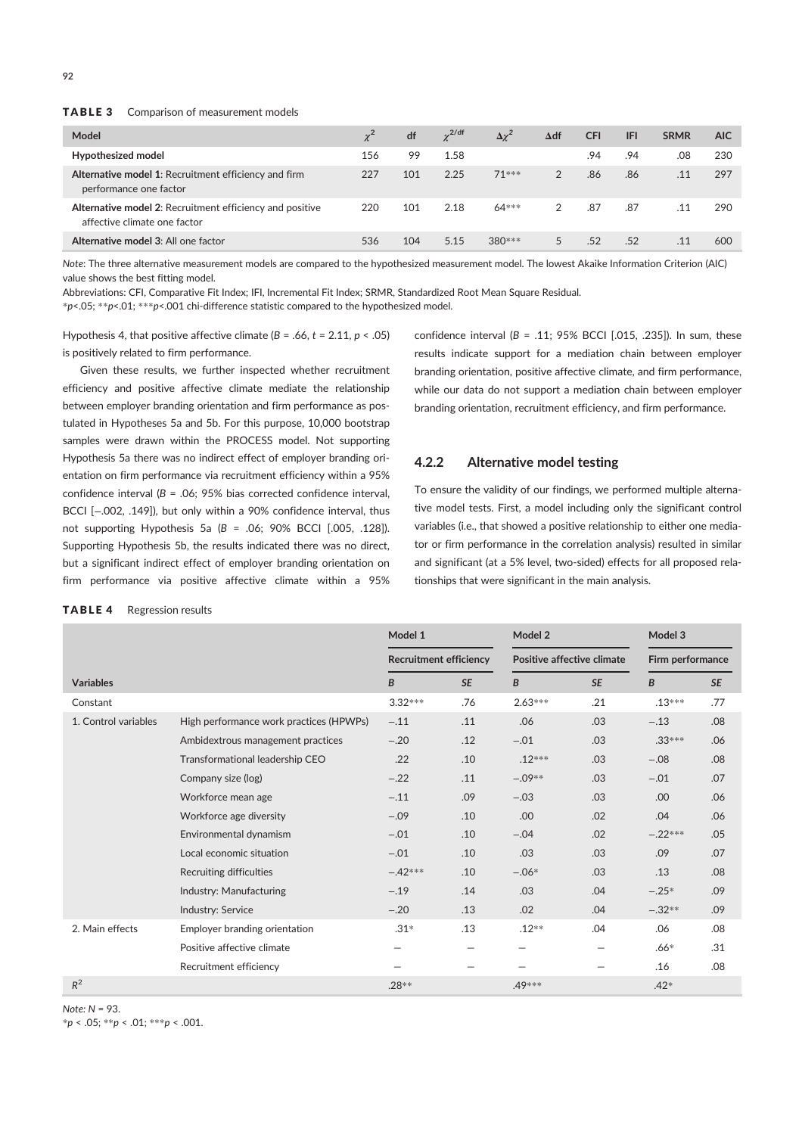| Model                                                                                    |     | df  | $\gamma^{2/\mathrm{df}}$ | $\Delta \chi^2$ | $\Delta df$   | <b>CFI</b> | <b>IFI</b> | <b>SRMR</b> | <b>AIC</b> |
|------------------------------------------------------------------------------------------|-----|-----|--------------------------|-----------------|---------------|------------|------------|-------------|------------|
| Hypothesized model                                                                       | 156 | 99  | 1.58                     |                 |               | .94        | .94        | .08         | 230        |
| Alternative model 1: Recruitment efficiency and firm<br>performance one factor           | 227 | 101 | 2.25                     | $71***$         | 2             | .86        | .86        | .11         | 297        |
| Alternative model 2: Recruitment efficiency and positive<br>affective climate one factor | 220 | 101 | 2.18                     | $64***$         | $\mathcal{P}$ | .87        | .87        | .11         | 290        |
| Alternative model 3: All one factor                                                      | 536 | 104 | 5.15                     | 380 ***         | 5             | .52        | .52        | .11         | 600        |

Note: The three alternative measurement models are compared to the hypothesized measurement model. The lowest Akaike Information Criterion (AIC) value shows the best fitting model.

Abbreviations: CFI, Comparative Fit Index; IFI, Incremental Fit Index; SRMR, Standardized Root Mean Square Residual.

 $*p$ <.05;  $*p$ <.01;  $**p$ <.001 chi-difference statistic compared to the hypothesized model.

Hypothesis 4, that positive affective climate ( $B = .66$ ,  $t = 2.11$ ,  $p < .05$ ) is positively related to firm performance.

Given these results, we further inspected whether recruitment efficiency and positive affective climate mediate the relationship between employer branding orientation and firm performance as postulated in Hypotheses 5a and 5b. For this purpose, 10,000 bootstrap samples were drawn within the PROCESS model. Not supporting Hypothesis 5a there was no indirect effect of employer branding orientation on firm performance via recruitment efficiency within a 95% confidence interval ( $B = .06$ ; 95% bias corrected confidence interval, BCCI [−.002, .149]), but only within a 90% confidence interval, thus not supporting Hypothesis 5a (B = .06; 90% BCCI [.005, .128]). Supporting Hypothesis 5b, the results indicated there was no direct, but a significant indirect effect of employer branding orientation on firm performance via positive affective climate within a 95%

confidence interval ( $B = .11$ ; 95% BCCI [.015, .235]). In sum, these results indicate support for a mediation chain between employer branding orientation, positive affective climate, and firm performance, while our data do not support a mediation chain between employer branding orientation, recruitment efficiency, and firm performance.

### 4.2.2 Alternative model testing

To ensure the validity of our findings, we performed multiple alternative model tests. First, a model including only the significant control variables (i.e., that showed a positive relationship to either one mediator or firm performance in the correlation analysis) resulted in similar and significant (at a 5% level, two-sided) effects for all proposed relationships that were significant in the main analysis.

#### TABLE 4 Regression results

|                      |                                         | Model 1                       |           | Model 2   |                                   | Model 3          |           |  |
|----------------------|-----------------------------------------|-------------------------------|-----------|-----------|-----------------------------------|------------------|-----------|--|
|                      |                                         | <b>Recruitment efficiency</b> |           |           | <b>Positive affective climate</b> | Firm performance |           |  |
| <b>Variables</b>     |                                         | B                             | <b>SE</b> | B         | <b>SE</b>                         | B                | <b>SE</b> |  |
| Constant             |                                         | $3.32***$                     | .76       | $2.63***$ | .21                               | $.13***$         | .77       |  |
| 1. Control variables | High performance work practices (HPWPs) | $-.11$                        | .11       | .06       | .03                               | $-.13$           | .08       |  |
|                      | Ambidextrous management practices       | $-.20$                        | .12       | $-.01$    | .03                               | $.33***$         | .06       |  |
|                      | Transformational leadership CEO         | .22                           | .10       | $.12***$  | .03                               | $-.08$           | .08       |  |
|                      | Company size (log)                      | $-.22$                        | .11       | $-.09**$  | .03                               | $-.01$           | .07       |  |
|                      | Workforce mean age                      | $-.11$                        | .09       | $-.03$    | .03                               | .00              | .06       |  |
|                      | Workforce age diversity                 | $-.09$                        | .10       | .00       | .02                               | .04              | .06       |  |
|                      | Environmental dynamism                  | $-.01$                        | .10       | $-.04$    | .02                               | $-.22***$        | .05       |  |
|                      | Local economic situation                | $-.01$                        | .10       | .03       | .03                               | .09              | .07       |  |
|                      | <b>Recruiting difficulties</b>          | $-.42***$                     | .10       | $-.06*$   | .03                               | .13              | .08       |  |
|                      | Industry: Manufacturing                 | $-.19$                        | .14       | .03       | .04                               | $-.25*$          | .09       |  |
|                      | Industry: Service                       | $-.20$                        | .13       | .02       | .04                               | $-.32**$         | .09       |  |
| 2. Main effects      | Employer branding orientation           | $.31*$                        | .13       | $.12**$   | .04                               | .06              | .08       |  |
|                      | Positive affective climate              |                               | -         |           |                                   | $.66*$           | .31       |  |
|                      | Recruitment efficiency                  |                               |           |           | $\qquad \qquad -$                 | .16              | .08       |  |
| $R^2$                |                                         | .28 **                        |           | .49 ***   |                                   | $.42*$           |           |  |

### Note: N = 93.

 $*p < .05; **p < .01; ***p < .001.$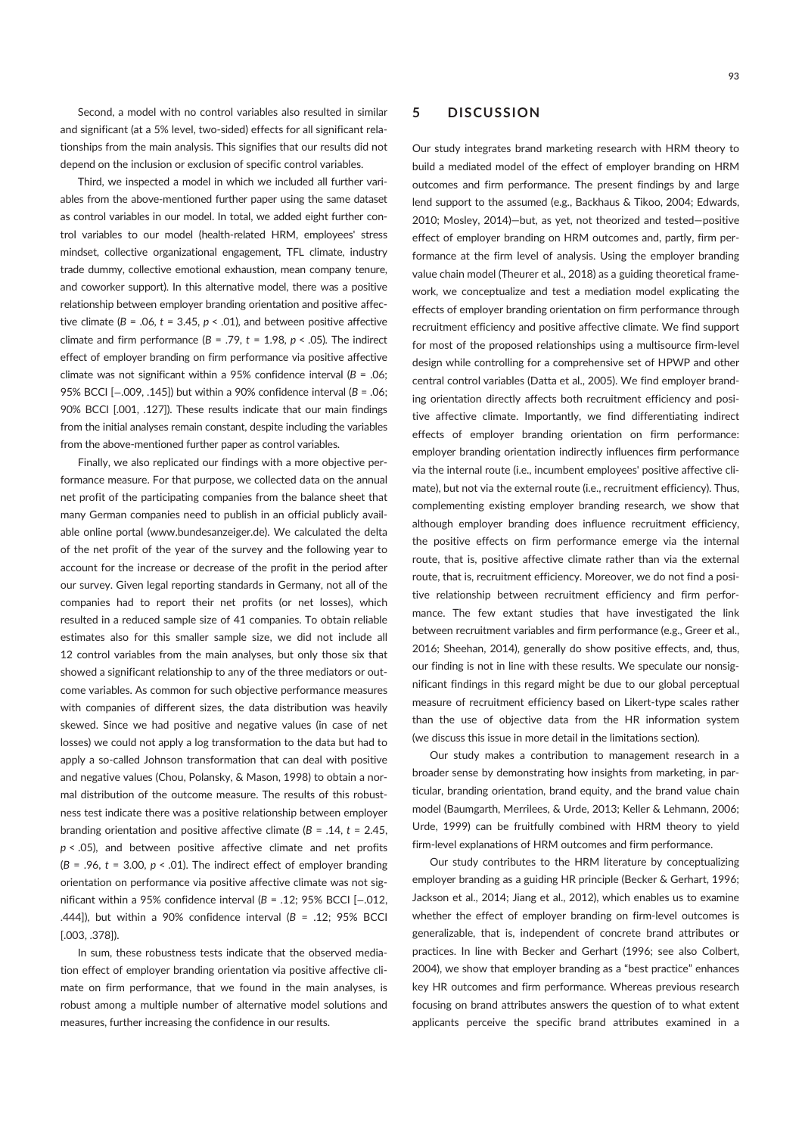Second, a model with no control variables also resulted in similar and significant (at a 5% level, two-sided) effects for all significant relationships from the main analysis. This signifies that our results did not depend on the inclusion or exclusion of specific control variables.

Third, we inspected a model in which we included all further variables from the above-mentioned further paper using the same dataset as control variables in our model. In total, we added eight further control variables to our model (health-related HRM, employees' stress mindset, collective organizational engagement, TFL climate, industry trade dummy, collective emotional exhaustion, mean company tenure, and coworker support). In this alternative model, there was a positive relationship between employer branding orientation and positive affective climate ( $B = .06$ ,  $t = 3.45$ ,  $p < .01$ ), and between positive affective climate and firm performance ( $B = .79$ ,  $t = 1.98$ ,  $p < .05$ ). The indirect effect of employer branding on firm performance via positive affective climate was not significant within a 95% confidence interval ( $B = .06$ ; 95% BCCI [-.009, .145]) but within a 90% confidence interval (B = .06; 90% BCCI [.001, .127]). These results indicate that our main findings from the initial analyses remain constant, despite including the variables from the above-mentioned further paper as control variables.

Finally, we also replicated our findings with a more objective performance measure. For that purpose, we collected data on the annual net profit of the participating companies from the balance sheet that many German companies need to publish in an official publicly available online portal (www.bundesanzeiger.de). We calculated the delta of the net profit of the year of the survey and the following year to account for the increase or decrease of the profit in the period after our survey. Given legal reporting standards in Germany, not all of the companies had to report their net profits (or net losses), which resulted in a reduced sample size of 41 companies. To obtain reliable estimates also for this smaller sample size, we did not include all 12 control variables from the main analyses, but only those six that showed a significant relationship to any of the three mediators or outcome variables. As common for such objective performance measures with companies of different sizes, the data distribution was heavily skewed. Since we had positive and negative values (in case of net losses) we could not apply a log transformation to the data but had to apply a so-called Johnson transformation that can deal with positive and negative values (Chou, Polansky, & Mason, 1998) to obtain a normal distribution of the outcome measure. The results of this robustness test indicate there was a positive relationship between employer branding orientation and positive affective climate ( $B = .14$ ,  $t = 2.45$ ,  $p < .05$ ), and between positive affective climate and net profits  $(B = .96, t = 3.00, p < .01)$ . The indirect effect of employer branding orientation on performance via positive affective climate was not significant within a 95% confidence interval (B = .12; 95% BCCI [−.012, .444]), but within a 90% confidence interval ( $B = .12$ ; 95% BCCI [.003, .378]).

In sum, these robustness tests indicate that the observed mediation effect of employer branding orientation via positive affective climate on firm performance, that we found in the main analyses, is robust among a multiple number of alternative model solutions and measures, further increasing the confidence in our results.

# 5 DISCUSSION

Our study integrates brand marketing research with HRM theory to build a mediated model of the effect of employer branding on HRM outcomes and firm performance. The present findings by and large lend support to the assumed (e.g., Backhaus & Tikoo, 2004; Edwards, 2010; Mosley, 2014)—but, as yet, not theorized and tested—positive effect of employer branding on HRM outcomes and, partly, firm performance at the firm level of analysis. Using the employer branding value chain model (Theurer et al., 2018) as a guiding theoretical framework, we conceptualize and test a mediation model explicating the effects of employer branding orientation on firm performance through recruitment efficiency and positive affective climate. We find support for most of the proposed relationships using a multisource firm-level design while controlling for a comprehensive set of HPWP and other central control variables (Datta et al., 2005). We find employer branding orientation directly affects both recruitment efficiency and positive affective climate. Importantly, we find differentiating indirect effects of employer branding orientation on firm performance: employer branding orientation indirectly influences firm performance via the internal route (i.e., incumbent employees' positive affective climate), but not via the external route (i.e., recruitment efficiency). Thus, complementing existing employer branding research, we show that although employer branding does influence recruitment efficiency, the positive effects on firm performance emerge via the internal route, that is, positive affective climate rather than via the external route, that is, recruitment efficiency. Moreover, we do not find a positive relationship between recruitment efficiency and firm performance. The few extant studies that have investigated the link between recruitment variables and firm performance (e.g., Greer et al., 2016; Sheehan, 2014), generally do show positive effects, and, thus, our finding is not in line with these results. We speculate our nonsignificant findings in this regard might be due to our global perceptual measure of recruitment efficiency based on Likert-type scales rather than the use of objective data from the HR information system (we discuss this issue in more detail in the limitations section).

Our study makes a contribution to management research in a broader sense by demonstrating how insights from marketing, in particular, branding orientation, brand equity, and the brand value chain model (Baumgarth, Merrilees, & Urde, 2013; Keller & Lehmann, 2006; Urde, 1999) can be fruitfully combined with HRM theory to yield firm-level explanations of HRM outcomes and firm performance.

Our study contributes to the HRM literature by conceptualizing employer branding as a guiding HR principle (Becker & Gerhart, 1996; Jackson et al., 2014; Jiang et al., 2012), which enables us to examine whether the effect of employer branding on firm-level outcomes is generalizable, that is, independent of concrete brand attributes or practices. In line with Becker and Gerhart (1996; see also Colbert, 2004), we show that employer branding as a "best practice" enhances key HR outcomes and firm performance. Whereas previous research focusing on brand attributes answers the question of to what extent applicants perceive the specific brand attributes examined in a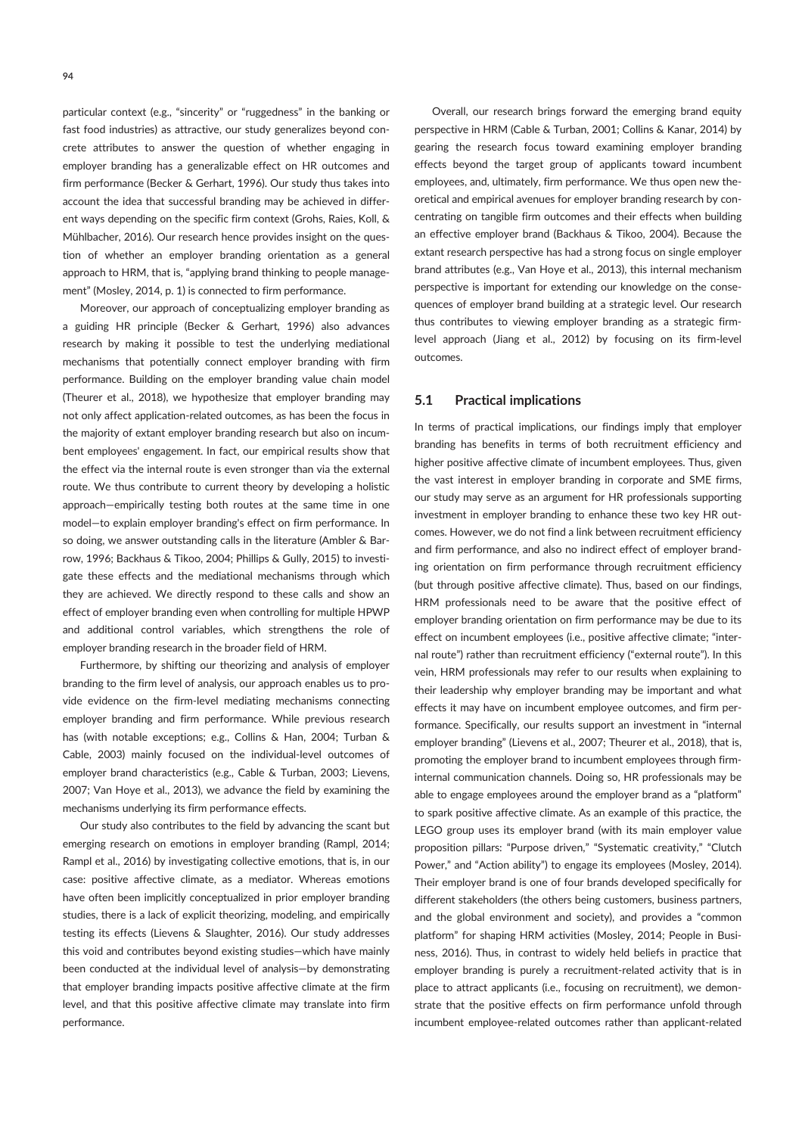particular context (e.g., "sincerity" or "ruggedness" in the banking or fast food industries) as attractive, our study generalizes beyond concrete attributes to answer the question of whether engaging in employer branding has a generalizable effect on HR outcomes and firm performance (Becker & Gerhart, 1996). Our study thus takes into account the idea that successful branding may be achieved in different ways depending on the specific firm context (Grohs, Raies, Koll, & Mühlbacher, 2016). Our research hence provides insight on the question of whether an employer branding orientation as a general approach to HRM, that is, "applying brand thinking to people management" (Mosley, 2014, p. 1) is connected to firm performance.

Moreover, our approach of conceptualizing employer branding as a guiding HR principle (Becker & Gerhart, 1996) also advances research by making it possible to test the underlying mediational mechanisms that potentially connect employer branding with firm performance. Building on the employer branding value chain model (Theurer et al., 2018), we hypothesize that employer branding may not only affect application-related outcomes, as has been the focus in the majority of extant employer branding research but also on incumbent employees' engagement. In fact, our empirical results show that the effect via the internal route is even stronger than via the external route. We thus contribute to current theory by developing a holistic approach—empirically testing both routes at the same time in one model—to explain employer branding's effect on firm performance. In so doing, we answer outstanding calls in the literature (Ambler & Barrow, 1996; Backhaus & Tikoo, 2004; Phillips & Gully, 2015) to investigate these effects and the mediational mechanisms through which they are achieved. We directly respond to these calls and show an effect of employer branding even when controlling for multiple HPWP and additional control variables, which strengthens the role of employer branding research in the broader field of HRM.

Furthermore, by shifting our theorizing and analysis of employer branding to the firm level of analysis, our approach enables us to provide evidence on the firm-level mediating mechanisms connecting employer branding and firm performance. While previous research has (with notable exceptions; e.g., Collins & Han, 2004; Turban & Cable, 2003) mainly focused on the individual-level outcomes of employer brand characteristics (e.g., Cable & Turban, 2003; Lievens, 2007; Van Hoye et al., 2013), we advance the field by examining the mechanisms underlying its firm performance effects.

Our study also contributes to the field by advancing the scant but emerging research on emotions in employer branding (Rampl, 2014; Rampl et al., 2016) by investigating collective emotions, that is, in our case: positive affective climate, as a mediator. Whereas emotions have often been implicitly conceptualized in prior employer branding studies, there is a lack of explicit theorizing, modeling, and empirically testing its effects (Lievens & Slaughter, 2016). Our study addresses this void and contributes beyond existing studies—which have mainly been conducted at the individual level of analysis—by demonstrating that employer branding impacts positive affective climate at the firm level, and that this positive affective climate may translate into firm performance.

Overall, our research brings forward the emerging brand equity perspective in HRM (Cable & Turban, 2001; Collins & Kanar, 2014) by gearing the research focus toward examining employer branding effects beyond the target group of applicants toward incumbent employees, and, ultimately, firm performance. We thus open new theoretical and empirical avenues for employer branding research by concentrating on tangible firm outcomes and their effects when building an effective employer brand (Backhaus & Tikoo, 2004). Because the extant research perspective has had a strong focus on single employer brand attributes (e.g., Van Hoye et al., 2013), this internal mechanism perspective is important for extending our knowledge on the consequences of employer brand building at a strategic level. Our research thus contributes to viewing employer branding as a strategic firmlevel approach (Jiang et al., 2012) by focusing on its firm-level outcomes.

### 5.1 Practical implications

In terms of practical implications, our findings imply that employer branding has benefits in terms of both recruitment efficiency and higher positive affective climate of incumbent employees. Thus, given the vast interest in employer branding in corporate and SME firms, our study may serve as an argument for HR professionals supporting investment in employer branding to enhance these two key HR outcomes. However, we do not find a link between recruitment efficiency and firm performance, and also no indirect effect of employer branding orientation on firm performance through recruitment efficiency (but through positive affective climate). Thus, based on our findings, HRM professionals need to be aware that the positive effect of employer branding orientation on firm performance may be due to its effect on incumbent employees (i.e., positive affective climate; "internal route") rather than recruitment efficiency ("external route"). In this vein, HRM professionals may refer to our results when explaining to their leadership why employer branding may be important and what effects it may have on incumbent employee outcomes, and firm performance. Specifically, our results support an investment in "internal employer branding" (Lievens et al., 2007; Theurer et al., 2018), that is, promoting the employer brand to incumbent employees through firminternal communication channels. Doing so, HR professionals may be able to engage employees around the employer brand as a "platform" to spark positive affective climate. As an example of this practice, the LEGO group uses its employer brand (with its main employer value proposition pillars: "Purpose driven," "Systematic creativity," "Clutch Power," and "Action ability") to engage its employees (Mosley, 2014). Their employer brand is one of four brands developed specifically for different stakeholders (the others being customers, business partners, and the global environment and society), and provides a "common platform" for shaping HRM activities (Mosley, 2014; People in Business, 2016). Thus, in contrast to widely held beliefs in practice that employer branding is purely a recruitment-related activity that is in place to attract applicants (i.e., focusing on recruitment), we demonstrate that the positive effects on firm performance unfold through incumbent employee-related outcomes rather than applicant-related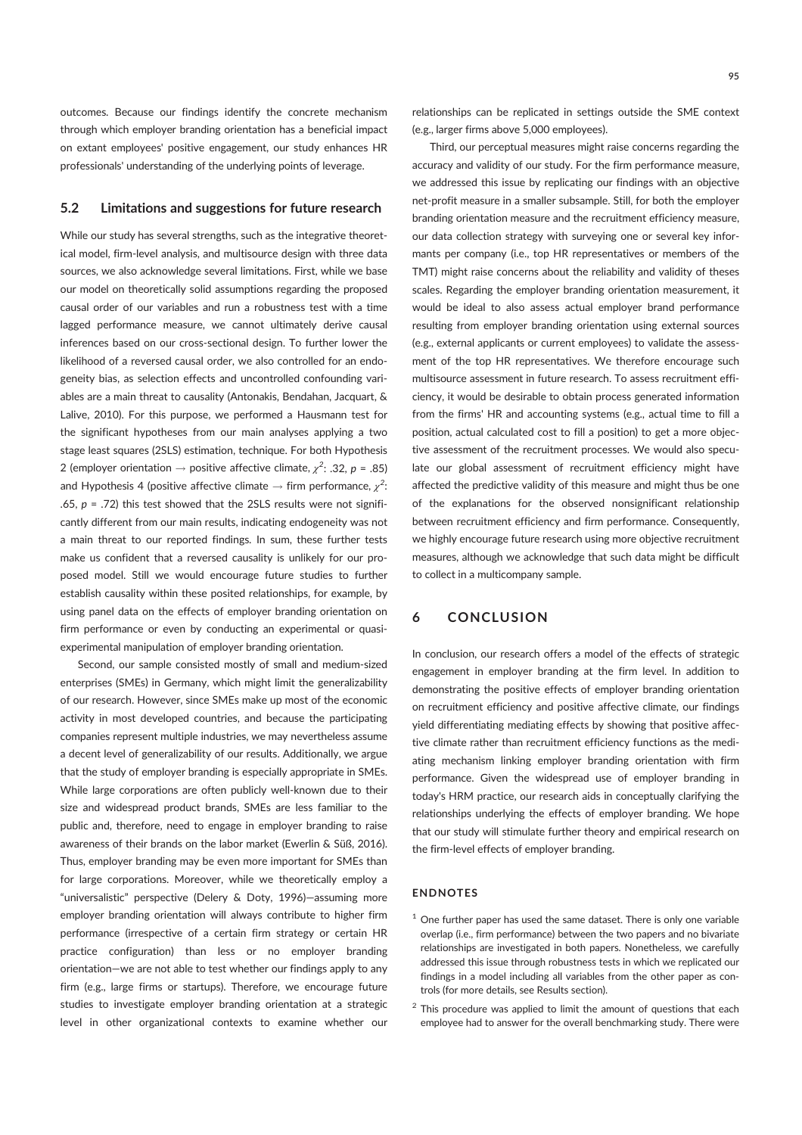outcomes. Because our findings identify the concrete mechanism through which employer branding orientation has a beneficial impact on extant employees' positive engagement, our study enhances HR professionals' understanding of the underlying points of leverage.

### 5.2 Limitations and suggestions for future research

While our study has several strengths, such as the integrative theoretical model, firm-level analysis, and multisource design with three data sources, we also acknowledge several limitations. First, while we base our model on theoretically solid assumptions regarding the proposed causal order of our variables and run a robustness test with a time lagged performance measure, we cannot ultimately derive causal inferences based on our cross-sectional design. To further lower the likelihood of a reversed causal order, we also controlled for an endogeneity bias, as selection effects and uncontrolled confounding variables are a main threat to causality (Antonakis, Bendahan, Jacquart, & Lalive, 2010). For this purpose, we performed a Hausmann test for the significant hypotheses from our main analyses applying a two stage least squares (2SLS) estimation, technique. For both Hypothesis 2 (employer orientation  $\rightarrow$  positive affective climate,  $\chi^2$ : .32, p = .85) and Hypothesis 4 (positive affective climate  $\rightarrow$  firm performance,  $\chi^2$ : .65,  $p = .72$ ) this test showed that the 2SLS results were not significantly different from our main results, indicating endogeneity was not a main threat to our reported findings. In sum, these further tests make us confident that a reversed causality is unlikely for our proposed model. Still we would encourage future studies to further establish causality within these posited relationships, for example, by using panel data on the effects of employer branding orientation on firm performance or even by conducting an experimental or quasiexperimental manipulation of employer branding orientation.

Second, our sample consisted mostly of small and medium-sized enterprises (SMEs) in Germany, which might limit the generalizability of our research. However, since SMEs make up most of the economic activity in most developed countries, and because the participating companies represent multiple industries, we may nevertheless assume a decent level of generalizability of our results. Additionally, we argue that the study of employer branding is especially appropriate in SMEs. While large corporations are often publicly well-known due to their size and widespread product brands, SMEs are less familiar to the public and, therefore, need to engage in employer branding to raise awareness of their brands on the labor market (Ewerlin & Süß, 2016). Thus, employer branding may be even more important for SMEs than for large corporations. Moreover, while we theoretically employ a "universalistic" perspective (Delery & Doty, 1996)—assuming more employer branding orientation will always contribute to higher firm performance (irrespective of a certain firm strategy or certain HR practice configuration) than less or no employer branding orientation—we are not able to test whether our findings apply to any firm (e.g., large firms or startups). Therefore, we encourage future studies to investigate employer branding orientation at a strategic level in other organizational contexts to examine whether our

relationships can be replicated in settings outside the SME context (e.g., larger firms above 5,000 employees).

Third, our perceptual measures might raise concerns regarding the accuracy and validity of our study. For the firm performance measure, we addressed this issue by replicating our findings with an objective net-profit measure in a smaller subsample. Still, for both the employer branding orientation measure and the recruitment efficiency measure, our data collection strategy with surveying one or several key informants per company (i.e., top HR representatives or members of the TMT) might raise concerns about the reliability and validity of theses scales. Regarding the employer branding orientation measurement, it would be ideal to also assess actual employer brand performance resulting from employer branding orientation using external sources (e.g., external applicants or current employees) to validate the assessment of the top HR representatives. We therefore encourage such multisource assessment in future research. To assess recruitment efficiency, it would be desirable to obtain process generated information from the firms' HR and accounting systems (e.g., actual time to fill a position, actual calculated cost to fill a position) to get a more objective assessment of the recruitment processes. We would also speculate our global assessment of recruitment efficiency might have affected the predictive validity of this measure and might thus be one of the explanations for the observed nonsignificant relationship between recruitment efficiency and firm performance. Consequently, we highly encourage future research using more objective recruitment measures, although we acknowledge that such data might be difficult to collect in a multicompany sample.

# 6 CONCLUSION

In conclusion, our research offers a model of the effects of strategic engagement in employer branding at the firm level. In addition to demonstrating the positive effects of employer branding orientation on recruitment efficiency and positive affective climate, our findings yield differentiating mediating effects by showing that positive affective climate rather than recruitment efficiency functions as the mediating mechanism linking employer branding orientation with firm performance. Given the widespread use of employer branding in today's HRM practice, our research aids in conceptually clarifying the relationships underlying the effects of employer branding. We hope that our study will stimulate further theory and empirical research on the firm-level effects of employer branding.

### ENDNOTES

- $1$  One further paper has used the same dataset. There is only one variable overlap (i.e., firm performance) between the two papers and no bivariate relationships are investigated in both papers. Nonetheless, we carefully addressed this issue through robustness tests in which we replicated our findings in a model including all variables from the other paper as controls (for more details, see Results section).
- $2$  This procedure was applied to limit the amount of questions that each employee had to answer for the overall benchmarking study. There were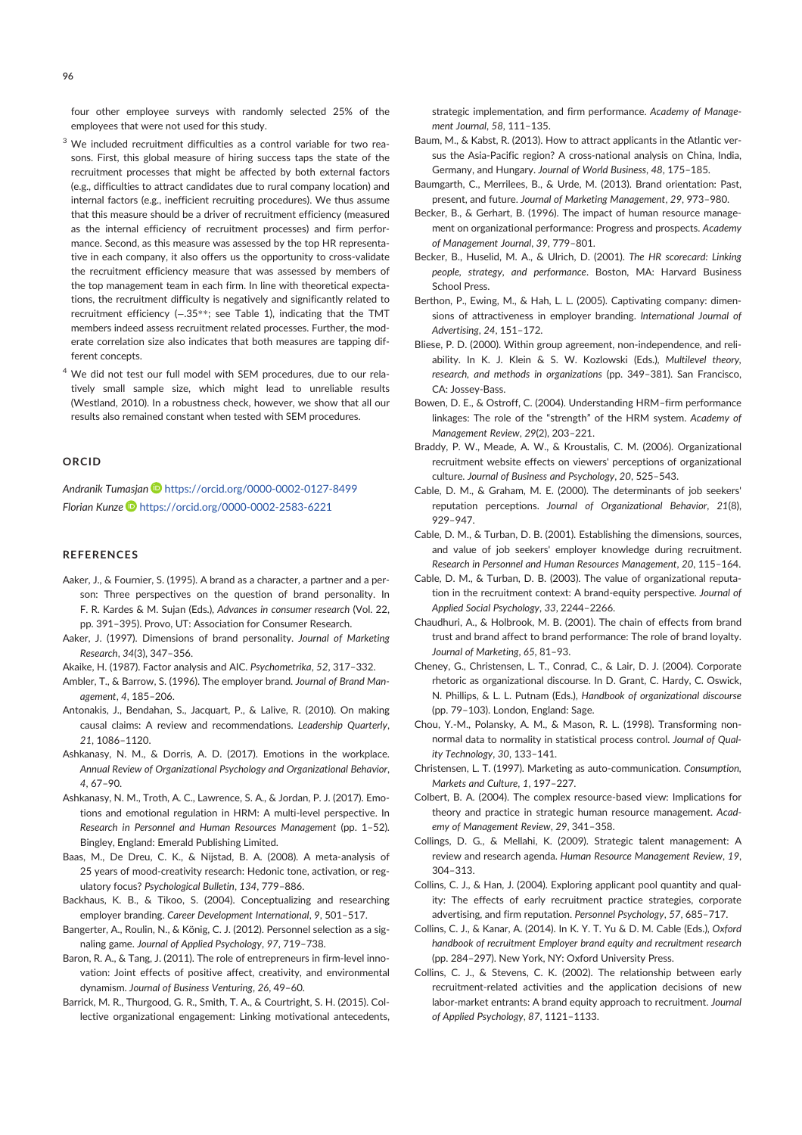four other employee surveys with randomly selected 25% of the employees that were not used for this study.

- <sup>3</sup> We included recruitment difficulties as a control variable for two reasons. First, this global measure of hiring success taps the state of the recruitment processes that might be affected by both external factors (e.g., difficulties to attract candidates due to rural company location) and internal factors (e.g., inefficient recruiting procedures). We thus assume that this measure should be a driver of recruitment efficiency (measured as the internal efficiency of recruitment processes) and firm performance. Second, as this measure was assessed by the top HR representative in each company, it also offers us the opportunity to cross-validate the recruitment efficiency measure that was assessed by members of the top management team in each firm. In line with theoretical expectations, the recruitment difficulty is negatively and significantly related to recruitment efficiency (−.35\*\*; see Table 1), indicating that the TMT members indeed assess recruitment related processes. Further, the moderate correlation size also indicates that both measures are tapping different concepts.
- <sup>4</sup> We did not test our full model with SEM procedures, due to our relatively small sample size, which might lead to unreliable results (Westland, 2010). In a robustness check, however, we show that all our results also remained constant when tested with SEM procedures.

### ORCID

Andranik Tumasjan Dhttps://orcid.org/0000-0002-0127-8499 Florian Kunze D https://orcid.org/0000-0002-2583-6221

#### REFERENCES

- Aaker, J., & Fournier, S. (1995). A brand as a character, a partner and a person: Three perspectives on the question of brand personality. In F. R. Kardes & M. Sujan (Eds.), Advances in consumer research (Vol. 22, pp. 391–395). Provo, UT: Association for Consumer Research.
- Aaker, J. (1997). Dimensions of brand personality. Journal of Marketing Research, 34(3), 347–356.
- Akaike, H. (1987). Factor analysis and AIC. Psychometrika, 52, 317–332.
- Ambler, T., & Barrow, S. (1996). The employer brand. Journal of Brand Management, 4, 185–206.
- Antonakis, J., Bendahan, S., Jacquart, P., & Lalive, R. (2010). On making causal claims: A review and recommendations. Leadership Quarterly, 21, 1086–1120.
- Ashkanasy, N. M., & Dorris, A. D. (2017). Emotions in the workplace. Annual Review of Organizational Psychology and Organizational Behavior, 4, 67–90.
- Ashkanasy, N. M., Troth, A. C., Lawrence, S. A., & Jordan, P. J. (2017). Emotions and emotional regulation in HRM: A multi-level perspective. In Research in Personnel and Human Resources Management (pp. 1–52). Bingley, England: Emerald Publishing Limited.
- Baas, M., De Dreu, C. K., & Nijstad, B. A. (2008). A meta-analysis of 25 years of mood-creativity research: Hedonic tone, activation, or regulatory focus? Psychological Bulletin, 134, 779–886.
- Backhaus, K. B., & Tikoo, S. (2004). Conceptualizing and researching employer branding. Career Development International, 9, 501–517.
- Bangerter, A., Roulin, N., & König, C. J. (2012). Personnel selection as a signaling game. Journal of Applied Psychology, 97, 719–738.
- Baron, R. A., & Tang, J. (2011). The role of entrepreneurs in firm-level innovation: Joint effects of positive affect, creativity, and environmental dynamism. Journal of Business Venturing, 26, 49–60.
- Barrick, M. R., Thurgood, G. R., Smith, T. A., & Courtright, S. H. (2015). Collective organizational engagement: Linking motivational antecedents,

strategic implementation, and firm performance. Academy of Management Journal, 58, 111–135.

- Baum, M., & Kabst, R. (2013). How to attract applicants in the Atlantic versus the Asia-Pacific region? A cross-national analysis on China, India, Germany, and Hungary. Journal of World Business, 48, 175–185.
- Baumgarth, C., Merrilees, B., & Urde, M. (2013). Brand orientation: Past, present, and future. Journal of Marketing Management, 29, 973–980.
- Becker, B., & Gerhart, B. (1996). The impact of human resource management on organizational performance: Progress and prospects. Academy of Management Journal, 39, 779–801.
- Becker, B., Huselid, M. A., & Ulrich, D. (2001). The HR scorecard: Linking people, strategy, and performance. Boston, MA: Harvard Business School Press.
- Berthon, P., Ewing, M., & Hah, L. L. (2005). Captivating company: dimensions of attractiveness in employer branding. International Journal of Advertising, 24, 151–172.
- Bliese, P. D. (2000). Within group agreement, non-independence, and reliability. In K. J. Klein & S. W. Kozlowski (Eds.), Multilevel theory, research, and methods in organizations (pp. 349–381). San Francisco, CA: Jossey-Bass.
- Bowen, D. E., & Ostroff, C. (2004). Understanding HRM–firm performance linkages: The role of the "strength" of the HRM system. Academy of Management Review, 29(2), 203–221.
- Braddy, P. W., Meade, A. W., & Kroustalis, C. M. (2006). Organizational recruitment website effects on viewers' perceptions of organizational culture. Journal of Business and Psychology, 20, 525–543.
- Cable, D. M., & Graham, M. E. (2000). The determinants of job seekers' reputation perceptions. Journal of Organizational Behavior, 21(8), 929–947.
- Cable, D. M., & Turban, D. B. (2001). Establishing the dimensions, sources, and value of job seekers' employer knowledge during recruitment. Research in Personnel and Human Resources Management, 20, 115–164.
- Cable, D. M., & Turban, D. B. (2003). The value of organizational reputation in the recruitment context: A brand-equity perspective. Journal of Applied Social Psychology, 33, 2244–2266.
- Chaudhuri, A., & Holbrook, M. B. (2001). The chain of effects from brand trust and brand affect to brand performance: The role of brand loyalty. Journal of Marketing, 65, 81–93.
- Cheney, G., Christensen, L. T., Conrad, C., & Lair, D. J. (2004). Corporate rhetoric as organizational discourse. In D. Grant, C. Hardy, C. Oswick, N. Phillips, & L. L. Putnam (Eds.), Handbook of organizational discourse (pp. 79–103). London, England: Sage.
- Chou, Y.-M., Polansky, A. M., & Mason, R. L. (1998). Transforming nonnormal data to normality in statistical process control. Journal of Quality Technology, 30, 133–141.
- Christensen, L. T. (1997). Marketing as auto-communication. Consumption, Markets and Culture, 1, 197–227.
- Colbert, B. A. (2004). The complex resource-based view: Implications for theory and practice in strategic human resource management. Academy of Management Review, 29, 341–358.
- Collings, D. G., & Mellahi, K. (2009). Strategic talent management: A review and research agenda. Human Resource Management Review, 19, 304–313.
- Collins, C. J., & Han, J. (2004). Exploring applicant pool quantity and quality: The effects of early recruitment practice strategies, corporate advertising, and firm reputation. Personnel Psychology, 57, 685–717.
- Collins, C. J., & Kanar, A. (2014). In K. Y. T. Yu & D. M. Cable (Eds.), Oxford handbook of recruitment Employer brand equity and recruitment research (pp. 284–297). New York, NY: Oxford University Press.
- Collins, C. J., & Stevens, C. K. (2002). The relationship between early recruitment-related activities and the application decisions of new labor-market entrants: A brand equity approach to recruitment. Journal of Applied Psychology, 87, 1121–1133.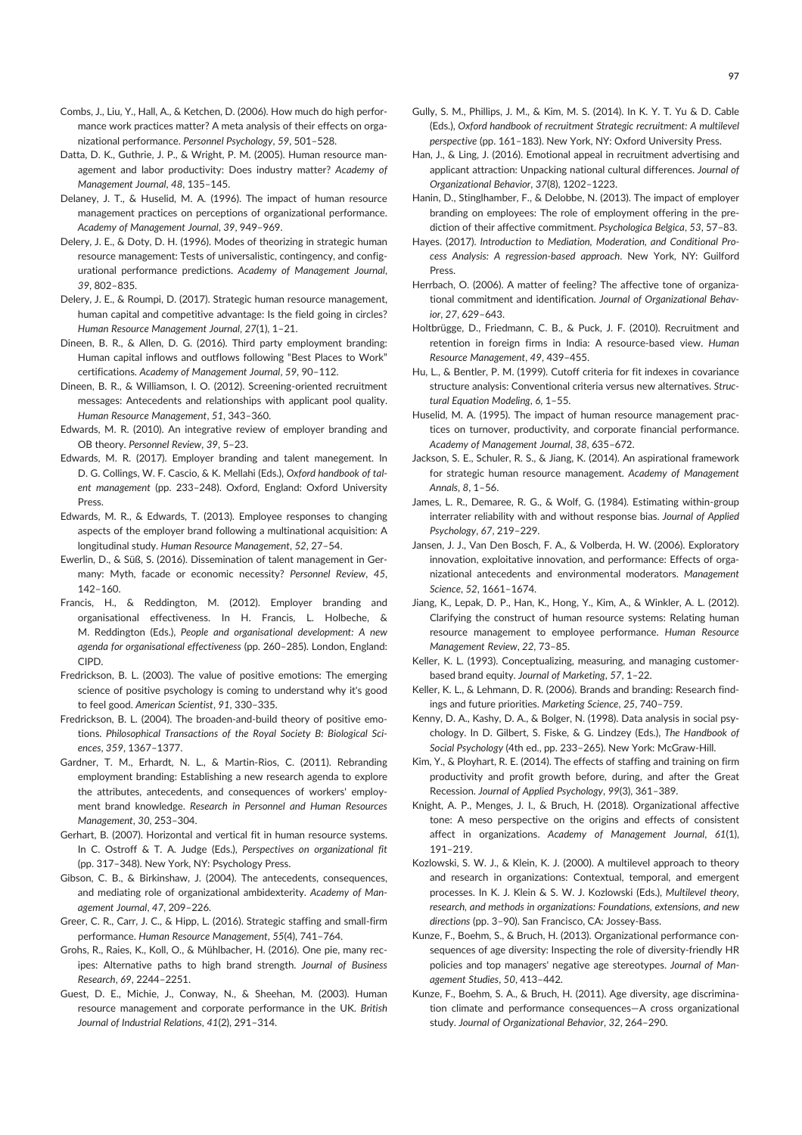- Combs, J., Liu, Y., Hall, A., & Ketchen, D. (2006). How much do high performance work practices matter? A meta analysis of their effects on organizational performance. Personnel Psychology, 59, 501–528.
- Datta, D. K., Guthrie, J. P., & Wright, P. M. (2005). Human resource management and labor productivity: Does industry matter? Academy of Management Journal, 48, 135–145.
- Delaney, J. T., & Huselid, M. A. (1996). The impact of human resource management practices on perceptions of organizational performance. Academy of Management Journal, 39, 949–969.
- Delery, J. E., & Doty, D. H. (1996). Modes of theorizing in strategic human resource management: Tests of universalistic, contingency, and configurational performance predictions. Academy of Management Journal, 39, 802–835.
- Delery, J. E., & Roumpi, D. (2017). Strategic human resource management, human capital and competitive advantage: Is the field going in circles? Human Resource Management Journal, 27(1), 1–21.
- Dineen, B. R., & Allen, D. G. (2016). Third party employment branding: Human capital inflows and outflows following "Best Places to Work" certifications. Academy of Management Journal, 59, 90–112.
- Dineen, B. R., & Williamson, I. O. (2012). Screening-oriented recruitment messages: Antecedents and relationships with applicant pool quality. Human Resource Management, 51, 343–360.
- Edwards, M. R. (2010). An integrative review of employer branding and OB theory. Personnel Review, 39, 5–23.
- Edwards, M. R. (2017). Employer branding and talent manegement. In D. G. Collings, W. F. Cascio, & K. Mellahi (Eds.), Oxford handbook of talent management (pp. 233–248). Oxford, England: Oxford University **Press**
- Edwards, M. R., & Edwards, T. (2013). Employee responses to changing aspects of the employer brand following a multinational acquisition: A longitudinal study. Human Resource Management, 52, 27–54.
- Ewerlin, D., & Süß, S. (2016). Dissemination of talent management in Germany: Myth, facade or economic necessity? Personnel Review, 45, 142–160.
- Francis, H., & Reddington, M. (2012). Employer branding and organisational effectiveness. In H. Francis, L. Holbeche, & M. Reddington (Eds.), People and organisational development: A new agenda for organisational effectiveness (pp. 260–285). London, England: CIPD.
- Fredrickson, B. L. (2003). The value of positive emotions: The emerging science of positive psychology is coming to understand why it's good to feel good. American Scientist, 91, 330–335.
- Fredrickson, B. L. (2004). The broaden-and-build theory of positive emotions. Philosophical Transactions of the Royal Society B: Biological Sciences, 359, 1367–1377.
- Gardner, T. M., Erhardt, N. L., & Martin-Rios, C. (2011). Rebranding employment branding: Establishing a new research agenda to explore the attributes, antecedents, and consequences of workers' employment brand knowledge. Research in Personnel and Human Resources Management, 30, 253–304.
- Gerhart, B. (2007). Horizontal and vertical fit in human resource systems. In C. Ostroff & T. A. Judge (Eds.), Perspectives on organizational fit (pp. 317–348). New York, NY: Psychology Press.
- Gibson, C. B., & Birkinshaw, J. (2004). The antecedents, consequences, and mediating role of organizational ambidexterity. Academy of Management Journal, 47, 209–226.
- Greer, C. R., Carr, J. C., & Hipp, L. (2016). Strategic staffing and small-firm performance. Human Resource Management, 55(4), 741–764.
- Grohs, R., Raies, K., Koll, O., & Mühlbacher, H. (2016). One pie, many recipes: Alternative paths to high brand strength. Journal of Business Research, 69, 2244–2251.
- Guest, D. E., Michie, J., Conway, N., & Sheehan, M. (2003). Human resource management and corporate performance in the UK. British Journal of Industrial Relations, 41(2), 291–314.
- Gully, S. M., Phillips, J. M., & Kim, M. S. (2014). In K. Y. T. Yu & D. Cable (Eds.), Oxford handbook of recruitment Strategic recruitment: A multilevel perspective (pp. 161–183). New York, NY: Oxford University Press.
- Han, J., & Ling, J. (2016). Emotional appeal in recruitment advertising and applicant attraction: Unpacking national cultural differences. Journal of Organizational Behavior, 37(8), 1202–1223.
- Hanin, D., Stinglhamber, F., & Delobbe, N. (2013). The impact of employer branding on employees: The role of employment offering in the prediction of their affective commitment. Psychologica Belgica, 53, 57–83.
- Hayes. (2017). Introduction to Mediation, Moderation, and Conditional Process Analysis: A regression-based approach. New York, NY: Guilford Press.
- Herrbach, O. (2006). A matter of feeling? The affective tone of organizational commitment and identification. Journal of Organizational Behavior, 27, 629–643.
- Holtbrügge, D., Friedmann, C. B., & Puck, J. F. (2010). Recruitment and retention in foreign firms in India: A resource-based view. Human Resource Management, 49, 439–455.
- Hu, L., & Bentler, P. M. (1999). Cutoff criteria for fit indexes in covariance structure analysis: Conventional criteria versus new alternatives. Structural Equation Modeling, 6, 1–55.
- Huselid, M. A. (1995). The impact of human resource management practices on turnover, productivity, and corporate financial performance. Academy of Management Journal, 38, 635–672.
- Jackson, S. E., Schuler, R. S., & Jiang, K. (2014). An aspirational framework for strategic human resource management. Academy of Management Annals, 8, 1–56.
- James, L. R., Demaree, R. G., & Wolf, G. (1984). Estimating within-group interrater reliability with and without response bias. Journal of Applied Psychology, 67, 219–229.
- Jansen, J. J., Van Den Bosch, F. A., & Volberda, H. W. (2006). Exploratory innovation, exploitative innovation, and performance: Effects of organizational antecedents and environmental moderators. Management Science, 52, 1661–1674.
- Jiang, K., Lepak, D. P., Han, K., Hong, Y., Kim, A., & Winkler, A. L. (2012). Clarifying the construct of human resource systems: Relating human resource management to employee performance. Human Resource Management Review, 22, 73–85.
- Keller, K. L. (1993). Conceptualizing, measuring, and managing customerbased brand equity. Journal of Marketing, 57, 1–22.
- Keller, K. L., & Lehmann, D. R. (2006). Brands and branding: Research findings and future priorities. Marketing Science, 25, 740–759.
- Kenny, D. A., Kashy, D. A., & Bolger, N. (1998). Data analysis in social psychology. In D. Gilbert, S. Fiske, & G. Lindzey (Eds.), The Handbook of Social Psychology (4th ed., pp. 233–265). New York: McGraw-Hill.
- Kim, Y., & Ployhart, R. E. (2014). The effects of staffing and training on firm productivity and profit growth before, during, and after the Great Recession. Journal of Applied Psychology, 99(3), 361–389.
- Knight, A. P., Menges, J. I., & Bruch, H. (2018). Organizational affective tone: A meso perspective on the origins and effects of consistent affect in organizations. Academy of Management Journal, 61(1), 191–219.
- Kozlowski, S. W. J., & Klein, K. J. (2000). A multilevel approach to theory and research in organizations: Contextual, temporal, and emergent processes. In K. J. Klein & S. W. J. Kozlowski (Eds.), Multilevel theory, research, and methods in organizations: Foundations, extensions, and new directions (pp. 3–90). San Francisco, CA: Jossey-Bass.
- Kunze, F., Boehm, S., & Bruch, H. (2013). Organizational performance consequences of age diversity: Inspecting the role of diversity-friendly HR policies and top managers' negative age stereotypes. Journal of Management Studies, 50, 413–442.
- Kunze, F., Boehm, S. A., & Bruch, H. (2011). Age diversity, age discrimination climate and performance consequences—A cross organizational study. Journal of Organizational Behavior, 32, 264–290.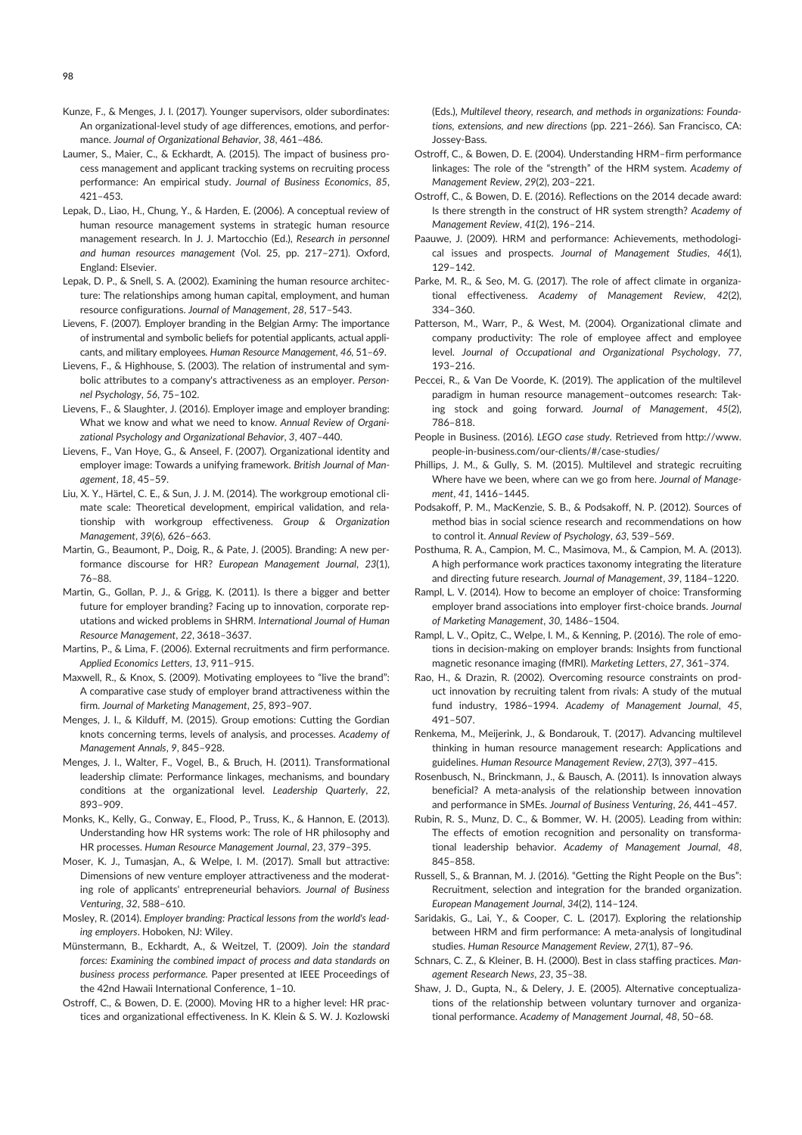- Kunze, F., & Menges, J. I. (2017). Younger supervisors, older subordinates: An organizational-level study of age differences, emotions, and performance. Journal of Organizational Behavior, 38, 461–486.
- Laumer, S., Maier, C., & Eckhardt, A. (2015). The impact of business process management and applicant tracking systems on recruiting process performance: An empirical study. Journal of Business Economics, 85, 421–453.
- Lepak, D., Liao, H., Chung, Y., & Harden, E. (2006). A conceptual review of human resource management systems in strategic human resource management research. In J. J. Martocchio (Ed.), Research in personnel and human resources management (Vol. 25, pp. 217–271). Oxford, England: Elsevier.
- Lepak, D. P., & Snell, S. A. (2002). Examining the human resource architecture: The relationships among human capital, employment, and human resource configurations. Journal of Management, 28, 517–543.
- Lievens, F. (2007). Employer branding in the Belgian Army: The importance of instrumental and symbolic beliefs for potential applicants, actual applicants, and military employees. Human Resource Management, 46, 51–69.
- Lievens, F., & Highhouse, S. (2003). The relation of instrumental and symbolic attributes to a company's attractiveness as an employer. Personnel Psychology, 56, 75–102.
- Lievens, F., & Slaughter, J. (2016). Employer image and employer branding: What we know and what we need to know. Annual Review of Organizational Psychology and Organizational Behavior, 3, 407–440.
- Lievens, F., Van Hoye, G., & Anseel, F. (2007). Organizational identity and employer image: Towards a unifying framework. British Journal of Management, 18, 45–59.
- Liu, X. Y., Härtel, C. E., & Sun, J. J. M. (2014). The workgroup emotional climate scale: Theoretical development, empirical validation, and relationship with workgroup effectiveness. Group & Organization Management, 39(6), 626–663.
- Martin, G., Beaumont, P., Doig, R., & Pate, J. (2005). Branding: A new performance discourse for HR? European Management Journal, 23(1), 76–88.
- Martin, G., Gollan, P. J., & Grigg, K. (2011). Is there a bigger and better future for employer branding? Facing up to innovation, corporate reputations and wicked problems in SHRM. International Journal of Human Resource Management, 22, 3618–3637.
- Martins, P., & Lima, F. (2006). External recruitments and firm performance. Applied Economics Letters, 13, 911–915.
- Maxwell, R., & Knox, S. (2009). Motivating employees to "live the brand": A comparative case study of employer brand attractiveness within the firm. Journal of Marketing Management, 25, 893–907.
- Menges, J. I., & Kilduff, M. (2015). Group emotions: Cutting the Gordian knots concerning terms, levels of analysis, and processes. Academy of Management Annals, 9, 845–928.
- Menges, J. I., Walter, F., Vogel, B., & Bruch, H. (2011). Transformational leadership climate: Performance linkages, mechanisms, and boundary conditions at the organizational level. Leadership Quarterly, 22, 893–909.
- Monks, K., Kelly, G., Conway, E., Flood, P., Truss, K., & Hannon, E. (2013). Understanding how HR systems work: The role of HR philosophy and HR processes. Human Resource Management Journal, 23, 379–395.
- Moser, K. J., Tumasjan, A., & Welpe, I. M. (2017). Small but attractive: Dimensions of new venture employer attractiveness and the moderating role of applicants' entrepreneurial behaviors. Journal of Business Venturing, 32, 588–610.
- Mosley, R. (2014). Employer branding: Practical lessons from the world's leading employers. Hoboken, NJ: Wiley.
- Münstermann, B., Eckhardt, A., & Weitzel, T. (2009). Join the standard forces: Examining the combined impact of process and data standards on business process performance. Paper presented at IEEE Proceedings of the 42nd Hawaii International Conference, 1–10.
- Ostroff, C., & Bowen, D. E. (2000). Moving HR to a higher level: HR practices and organizational effectiveness. In K. Klein & S. W. J. Kozlowski

(Eds.), Multilevel theory, research, and methods in organizations: Foundations, extensions, and new directions (pp. 221–266). San Francisco, CA: Jossey-Bass.

- Ostroff, C., & Bowen, D. E. (2004). Understanding HRM–firm performance linkages: The role of the "strength" of the HRM system. Academy of Management Review, 29(2), 203–221.
- Ostroff, C., & Bowen, D. E. (2016). Reflections on the 2014 decade award: Is there strength in the construct of HR system strength? Academy of Management Review, 41(2), 196–214.
- Paauwe, J. (2009). HRM and performance: Achievements, methodological issues and prospects. Journal of Management Studies, 46(1), 129–142.
- Parke, M. R., & Seo, M. G. (2017). The role of affect climate in organizational effectiveness. Academy of Management Review, 42(2), 334–360.
- Patterson, M., Warr, P., & West, M. (2004). Organizational climate and company productivity: The role of employee affect and employee level. Journal of Occupational and Organizational Psychology, 77, 193–216.
- Peccei, R., & Van De Voorde, K. (2019). The application of the multilevel paradigm in human resource management–outcomes research: Taking stock and going forward. Journal of Management, 45(2), 786–818.
- People in Business. (2016). LEGO case study. Retrieved from http://www. people-in-business.com/our-clients/#/case-studies/
- Phillips, J. M., & Gully, S. M. (2015). Multilevel and strategic recruiting Where have we been, where can we go from here. Journal of Management, 41, 1416–1445.
- Podsakoff, P. M., MacKenzie, S. B., & Podsakoff, N. P. (2012). Sources of method bias in social science research and recommendations on how to control it. Annual Review of Psychology, 63, 539–569.
- Posthuma, R. A., Campion, M. C., Masimova, M., & Campion, M. A. (2013). A high performance work practices taxonomy integrating the literature and directing future research. Journal of Management, 39, 1184–1220.
- Rampl, L. V. (2014). How to become an employer of choice: Transforming employer brand associations into employer first-choice brands. Journal of Marketing Management, 30, 1486–1504.
- Rampl, L. V., Opitz, C., Welpe, I. M., & Kenning, P. (2016). The role of emotions in decision-making on employer brands: Insights from functional magnetic resonance imaging (fMRI). Marketing Letters, 27, 361–374.
- Rao, H., & Drazin, R. (2002). Overcoming resource constraints on product innovation by recruiting talent from rivals: A study of the mutual fund industry, 1986–1994. Academy of Management Journal, 45, 491–507.
- Renkema, M., Meijerink, J., & Bondarouk, T. (2017). Advancing multilevel thinking in human resource management research: Applications and guidelines. Human Resource Management Review, 27(3), 397–415.
- Rosenbusch, N., Brinckmann, J., & Bausch, A. (2011). Is innovation always beneficial? A meta-analysis of the relationship between innovation and performance in SMEs. Journal of Business Venturing, 26, 441–457.
- Rubin, R. S., Munz, D. C., & Bommer, W. H. (2005). Leading from within: The effects of emotion recognition and personality on transformational leadership behavior. Academy of Management Journal, 48, 845–858.
- Russell, S., & Brannan, M. J. (2016). "Getting the Right People on the Bus": Recruitment, selection and integration for the branded organization. European Management Journal, 34(2), 114–124.
- Saridakis, G., Lai, Y., & Cooper, C. L. (2017). Exploring the relationship between HRM and firm performance: A meta-analysis of longitudinal studies. Human Resource Management Review, 27(1), 87–96.
- Schnars, C. Z., & Kleiner, B. H. (2000). Best in class staffing practices. Management Research News, 23, 35–38.
- Shaw, J. D., Gupta, N., & Delery, J. E. (2005). Alternative conceptualizations of the relationship between voluntary turnover and organizational performance. Academy of Management Journal, 48, 50–68.